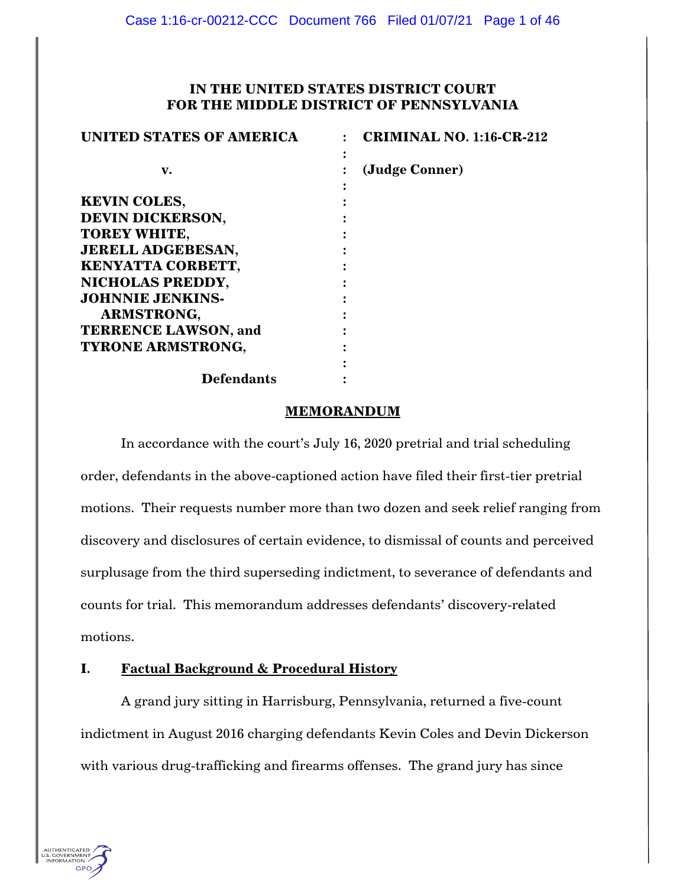# **IN THE UNITED STATES DISTRICT COURT FOR THE MIDDLE DISTRICT OF PENNSYLVANIA**

| <b>UNITED STATES OF AMERICA</b> | <b>CRIMINAL NO. 1:16-CR-212</b> |
|---------------------------------|---------------------------------|
| v.                              | (Judge Conner)                  |
| <b>KEVIN COLES,</b>             |                                 |
| <b>DEVIN DICKERSON,</b>         |                                 |
| <b>TOREY WHITE,</b>             |                                 |
| <b>JERELL ADGEBESAN,</b>        |                                 |
| KENYATTA CORBETT,               |                                 |
| NICHOLAS PREDDY,                |                                 |
| <b>JOHNNIE JENKINS-</b>         |                                 |
| <b>ARMSTRONG,</b>               |                                 |
| <b>TERRENCE LAWSON, and</b>     |                                 |
| <b>TYRONE ARMSTRONG,</b>        |                                 |
|                                 |                                 |
| <b>Defendants</b>               |                                 |

#### **MEMORANDUM**

In accordance with the court's July 16, 2020 pretrial and trial scheduling order, defendants in the above-captioned action have filed their first-tier pretrial motions. Their requests number more than two dozen and seek relief ranging from discovery and disclosures of certain evidence, to dismissal of counts and perceived surplusage from the third superseding indictment, to severance of defendants and counts for trial. This memorandum addresses defendants' discovery-related motions.

# **I. Factual Background & Procedural History**

A grand jury sitting in Harrisburg, Pennsylvania, returned a five-count indictment in August 2016 charging defendants Kevin Coles and Devin Dickerson with various drug-trafficking and firearms offenses. The grand jury has since

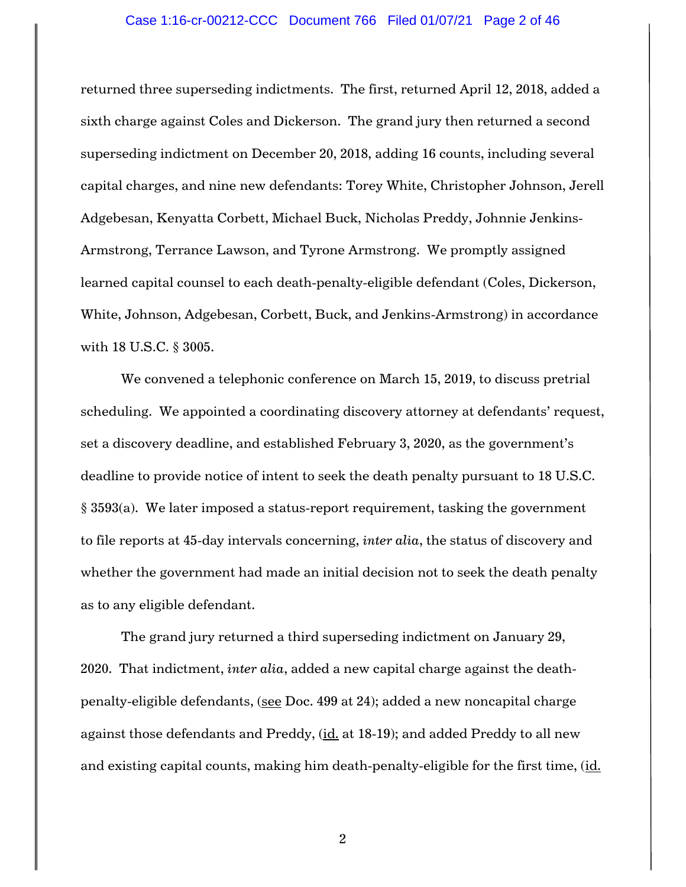# Case 1:16-cr-00212-CCC Document 766 Filed 01/07/21 Page 2 of 46

returned three superseding indictments. The first, returned April 12, 2018, added a sixth charge against Coles and Dickerson. The grand jury then returned a second superseding indictment on December 20, 2018, adding 16 counts, including several capital charges, and nine new defendants: Torey White, Christopher Johnson, Jerell Adgebesan, Kenyatta Corbett, Michael Buck, Nicholas Preddy, Johnnie Jenkins-Armstrong, Terrance Lawson, and Tyrone Armstrong. We promptly assigned learned capital counsel to each death-penalty-eligible defendant (Coles, Dickerson, White, Johnson, Adgebesan, Corbett, Buck, and Jenkins-Armstrong) in accordance with 18 U.S.C. § 3005.

We convened a telephonic conference on March 15, 2019, to discuss pretrial scheduling. We appointed a coordinating discovery attorney at defendants' request, set a discovery deadline, and established February 3, 2020, as the government's deadline to provide notice of intent to seek the death penalty pursuant to 18 U.S.C. § 3593(a). We later imposed a status-report requirement, tasking the government to file reports at 45-day intervals concerning, *inter alia*, the status of discovery and whether the government had made an initial decision not to seek the death penalty as to any eligible defendant.

The grand jury returned a third superseding indictment on January 29, 2020. That indictment, *inter alia*, added a new capital charge against the deathpenalty-eligible defendants, (see Doc. 499 at 24); added a new noncapital charge against those defendants and Preddy, (id. at 18-19); and added Preddy to all new and existing capital counts, making him death-penalty-eligible for the first time, (id.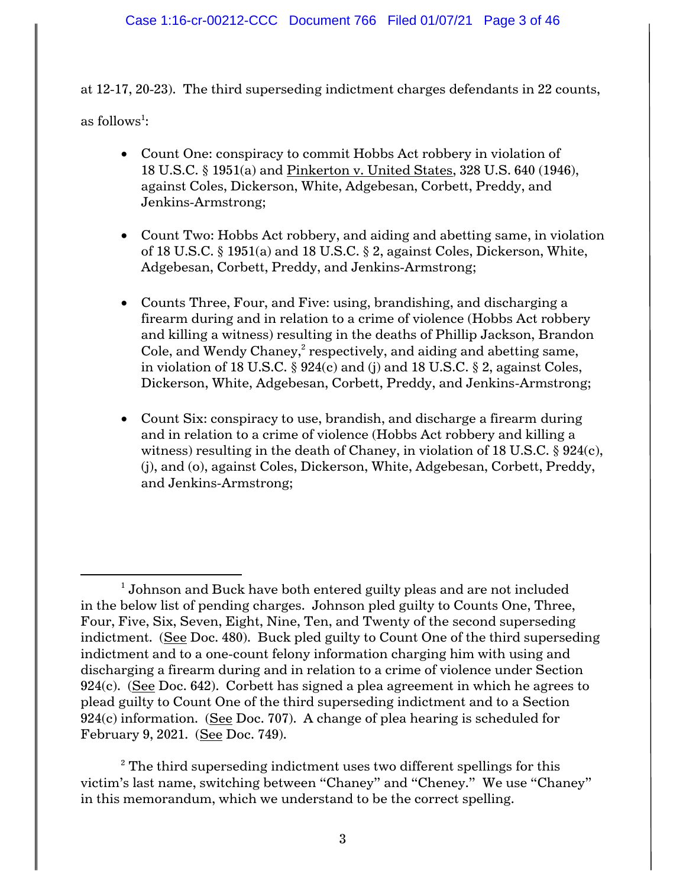at 12-17, 20-23). The third superseding indictment charges defendants in 22 counts,

as follows $^{\rm l}$ :

 $\overline{\phantom{a}}$ 

- Count One: conspiracy to commit Hobbs Act robbery in violation of 18 U.S.C. § 1951(a) and Pinkerton v. United States, 328 U.S. 640 (1946), against Coles, Dickerson, White, Adgebesan, Corbett, Preddy, and Jenkins-Armstrong;
- Count Two: Hobbs Act robbery, and aiding and abetting same, in violation of 18 U.S.C. § 1951(a) and 18 U.S.C. § 2, against Coles, Dickerson, White, Adgebesan, Corbett, Preddy, and Jenkins-Armstrong;
- Counts Three, Four, and Five: using, brandishing, and discharging a firearm during and in relation to a crime of violence (Hobbs Act robbery and killing a witness) resulting in the deaths of Phillip Jackson, Brandon Cole, and Wendy Chaney, $^2$  respectively, and aiding and abetting same, in violation of 18 U.S.C. § 924(c) and (j) and 18 U.S.C. § 2, against Coles, Dickerson, White, Adgebesan, Corbett, Preddy, and Jenkins-Armstrong;
- Count Six: conspiracy to use, brandish, and discharge a firearm during and in relation to a crime of violence (Hobbs Act robbery and killing a witness) resulting in the death of Chaney, in violation of 18 U.S.C.  $\S 924(c)$ , (j), and (o), against Coles, Dickerson, White, Adgebesan, Corbett, Preddy, and Jenkins-Armstrong;

 $^1$  Johnson and Buck have both entered guilty pleas and are not included in the below list of pending charges. Johnson pled guilty to Counts One, Three, Four, Five, Six, Seven, Eight, Nine, Ten, and Twenty of the second superseding indictment. (See Doc. 480). Buck pled guilty to Count One of the third superseding indictment and to a one-count felony information charging him with using and discharging a firearm during and in relation to a crime of violence under Section  $924(c)$ . (See Doc. 642). Corbett has signed a plea agreement in which he agrees to plead guilty to Count One of the third superseding indictment and to a Section 924(c) information. (See Doc. 707). A change of plea hearing is scheduled for February 9, 2021. (See Doc. 749).

 $2^2$  The third superseding indictment uses two different spellings for this victim's last name, switching between "Chaney" and "Cheney." We use "Chaney" in this memorandum, which we understand to be the correct spelling.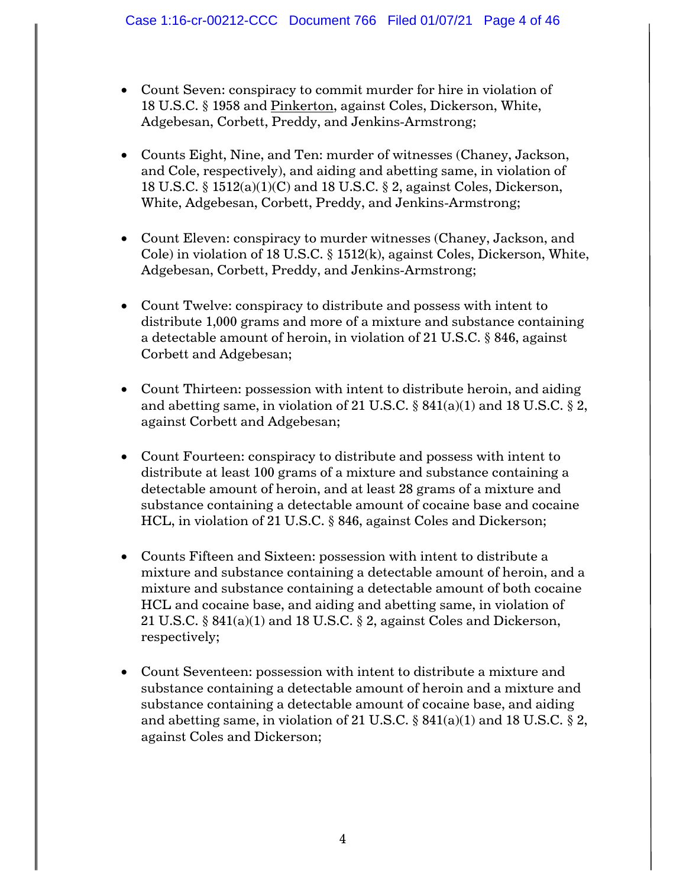- Count Seven: conspiracy to commit murder for hire in violation of 18 U.S.C. § 1958 and Pinkerton, against Coles, Dickerson, White, Adgebesan, Corbett, Preddy, and Jenkins-Armstrong;
- Counts Eight, Nine, and Ten: murder of witnesses (Chaney, Jackson, and Cole, respectively), and aiding and abetting same, in violation of 18 U.S.C. § 1512(a)(1)(C) and 18 U.S.C. § 2, against Coles, Dickerson, White, Adgebesan, Corbett, Preddy, and Jenkins-Armstrong;
- Count Eleven: conspiracy to murder witnesses (Chaney, Jackson, and Cole) in violation of 18 U.S.C. § 1512(k), against Coles, Dickerson, White, Adgebesan, Corbett, Preddy, and Jenkins-Armstrong;
- Count Twelve: conspiracy to distribute and possess with intent to distribute 1,000 grams and more of a mixture and substance containing a detectable amount of heroin, in violation of 21 U.S.C. § 846, against Corbett and Adgebesan;
- Count Thirteen: possession with intent to distribute heroin, and aiding and abetting same, in violation of 21 U.S.C.  $\S$  841(a)(1) and 18 U.S.C.  $\S$  2, against Corbett and Adgebesan;
- Count Fourteen: conspiracy to distribute and possess with intent to distribute at least 100 grams of a mixture and substance containing a detectable amount of heroin, and at least 28 grams of a mixture and substance containing a detectable amount of cocaine base and cocaine HCL, in violation of 21 U.S.C. § 846, against Coles and Dickerson;
- Counts Fifteen and Sixteen: possession with intent to distribute a mixture and substance containing a detectable amount of heroin, and a mixture and substance containing a detectable amount of both cocaine HCL and cocaine base, and aiding and abetting same, in violation of 21 U.S.C. § 841(a)(1) and 18 U.S.C. § 2, against Coles and Dickerson, respectively;
- Count Seventeen: possession with intent to distribute a mixture and substance containing a detectable amount of heroin and a mixture and substance containing a detectable amount of cocaine base, and aiding and abetting same, in violation of 21 U.S.C.  $\S$  841(a)(1) and 18 U.S.C.  $\S$  2, against Coles and Dickerson;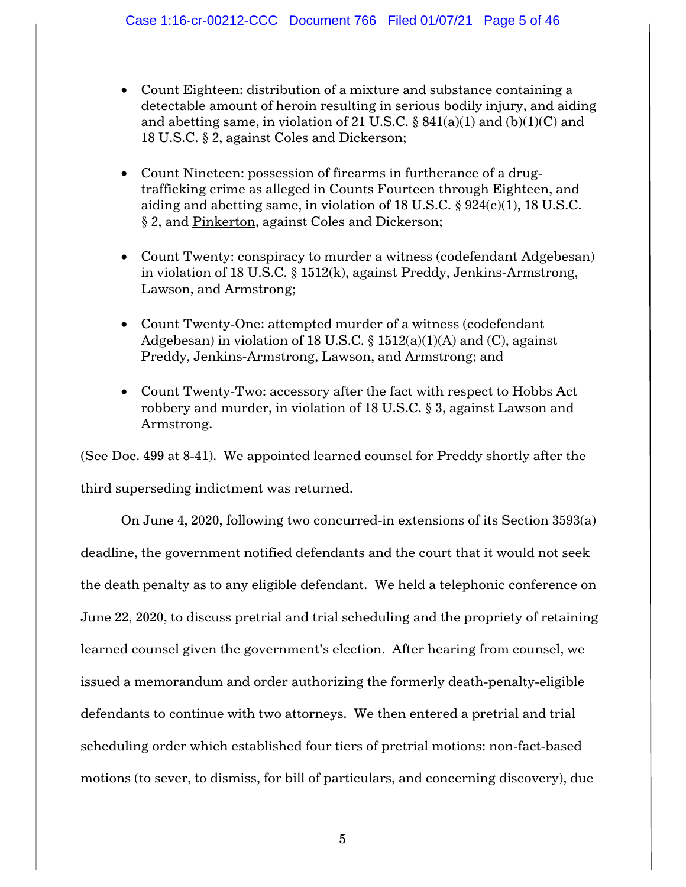- Count Eighteen: distribution of a mixture and substance containing a detectable amount of heroin resulting in serious bodily injury, and aiding and abetting same, in violation of 21 U.S.C.  $\S$  841(a)(1) and (b)(1)(C) and 18 U.S.C. § 2, against Coles and Dickerson;
- Count Nineteen: possession of firearms in furtherance of a drugtrafficking crime as alleged in Counts Fourteen through Eighteen, and aiding and abetting same, in violation of 18 U.S.C.  $\S$  924(c)(1), 18 U.S.C. § 2, and Pinkerton, against Coles and Dickerson;
- Count Twenty: conspiracy to murder a witness (codefendant Adgebesan) in violation of 18 U.S.C. § 1512(k), against Preddy, Jenkins-Armstrong, Lawson, and Armstrong;
- Count Twenty-One: attempted murder of a witness (codefendant Adgebesan) in violation of 18 U.S.C.  $\S$  1512(a)(1)(A) and (C), against Preddy, Jenkins-Armstrong, Lawson, and Armstrong; and
- Count Twenty-Two: accessory after the fact with respect to Hobbs Act robbery and murder, in violation of 18 U.S.C. § 3, against Lawson and Armstrong.

(See Doc. 499 at 8-41). We appointed learned counsel for Preddy shortly after the third superseding indictment was returned.

On June 4, 2020, following two concurred-in extensions of its Section 3593(a) deadline, the government notified defendants and the court that it would not seek the death penalty as to any eligible defendant. We held a telephonic conference on June 22, 2020, to discuss pretrial and trial scheduling and the propriety of retaining learned counsel given the government's election. After hearing from counsel, we issued a memorandum and order authorizing the formerly death-penalty-eligible defendants to continue with two attorneys. We then entered a pretrial and trial scheduling order which established four tiers of pretrial motions: non-fact-based motions (to sever, to dismiss, for bill of particulars, and concerning discovery), due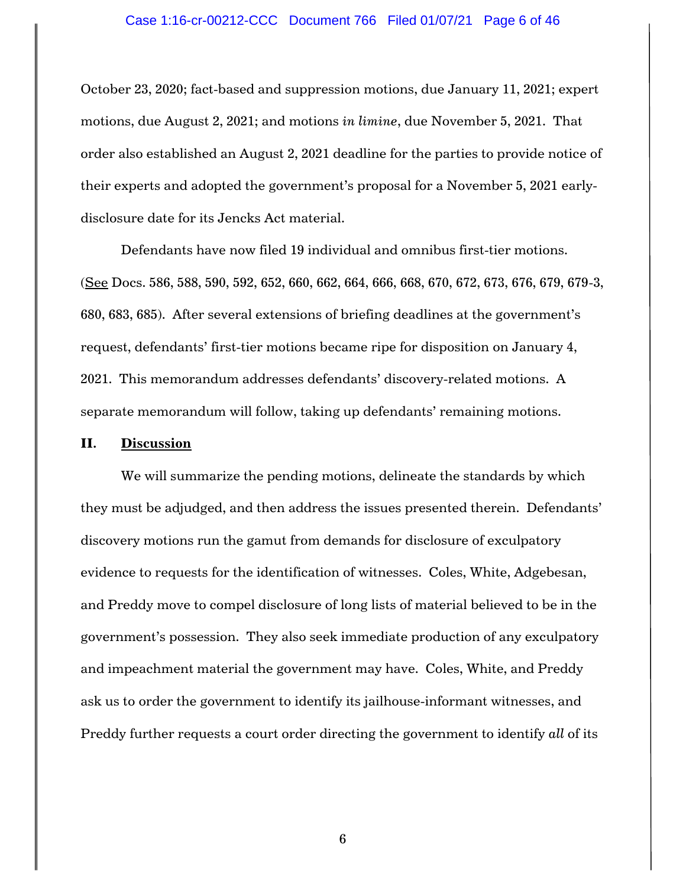# Case 1:16-cr-00212-CCC Document 766 Filed 01/07/21 Page 6 of 46

October 23, 2020; fact-based and suppression motions, due January 11, 2021; expert motions, due August 2, 2021; and motions *in limine*, due November 5, 2021. That order also established an August 2, 2021 deadline for the parties to provide notice of their experts and adopted the government's proposal for a November 5, 2021 earlydisclosure date for its Jencks Act material.

Defendants have now filed 19 individual and omnibus first-tier motions. (See Docs. 586, 588, 590, 592, 652, 660, 662, 664, 666, 668, 670, 672, 673, 676, 679, 679-3, 680, 683, 685). After several extensions of briefing deadlines at the government's request, defendants' first-tier motions became ripe for disposition on January 4, 2021. This memorandum addresses defendants' discovery-related motions. A separate memorandum will follow, taking up defendants' remaining motions.

#### **II. Discussion**

We will summarize the pending motions, delineate the standards by which they must be adjudged, and then address the issues presented therein. Defendants' discovery motions run the gamut from demands for disclosure of exculpatory evidence to requests for the identification of witnesses. Coles, White, Adgebesan, and Preddy move to compel disclosure of long lists of material believed to be in the government's possession. They also seek immediate production of any exculpatory and impeachment material the government may have. Coles, White, and Preddy ask us to order the government to identify its jailhouse-informant witnesses, and Preddy further requests a court order directing the government to identify *all* of its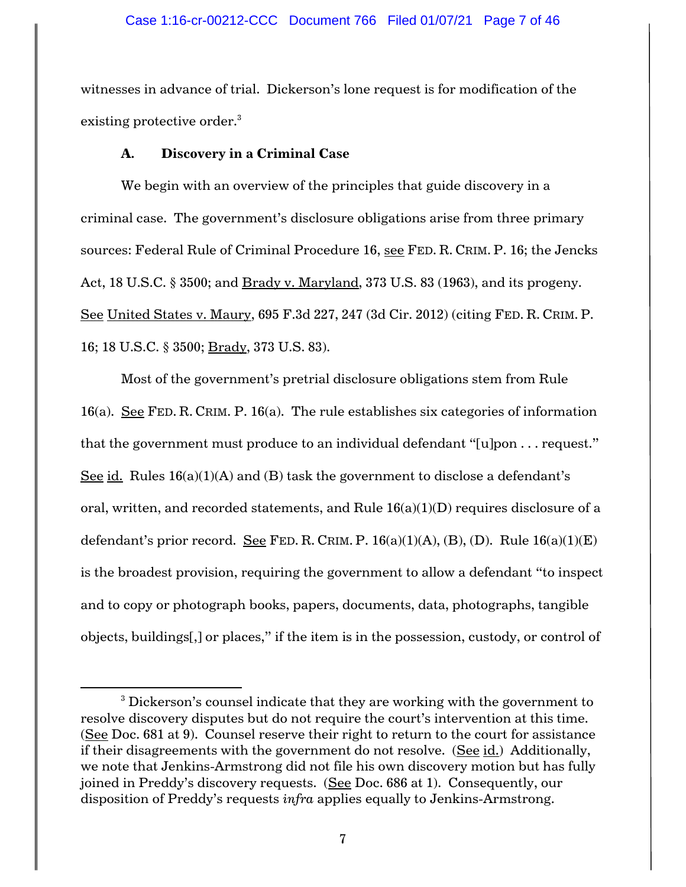witnesses in advance of trial. Dickerson's lone request is for modification of the existing protective order.<sup>3</sup>

# **A. Discovery in a Criminal Case**

 $\overline{a}$ 

We begin with an overview of the principles that guide discovery in a criminal case. The government's disclosure obligations arise from three primary sources: Federal Rule of Criminal Procedure 16, see FED. R. CRIM. P. 16; the Jencks Act, 18 U.S.C. § 3500; and Brady v. Maryland, 373 U.S. 83 (1963), and its progeny. See United States v. Maury, 695 F.3d 227, 247 (3d Cir. 2012) (citing FED. R. CRIM. P. 16; 18 U.S.C. § 3500; Brady, 373 U.S. 83).

Most of the government's pretrial disclosure obligations stem from Rule 16(a). See FED. R. CRIM. P. 16(a). The rule establishes six categories of information that the government must produce to an individual defendant "[u]pon . . . request." See id. Rules  $16(a)(1)(A)$  and (B) task the government to disclose a defendant's oral, written, and recorded statements, and Rule  $16(a)(1)(D)$  requires disclosure of a defendant's prior record. See FED. R. CRIM. P.  $16(a)(1)(A)$ ,  $(B)$ ,  $(D)$ . Rule  $16(a)(1)(E)$ is the broadest provision, requiring the government to allow a defendant "to inspect and to copy or photograph books, papers, documents, data, photographs, tangible objects, buildings[,] or places," if the item is in the possession, custody, or control of

<sup>&</sup>lt;sup>3</sup> Dickerson's counsel indicate that they are working with the government to resolve discovery disputes but do not require the court's intervention at this time. (See Doc. 681 at 9). Counsel reserve their right to return to the court for assistance if their disagreements with the government do not resolve. (See id.) Additionally, we note that Jenkins-Armstrong did not file his own discovery motion but has fully joined in Preddy's discovery requests. (See Doc. 686 at 1). Consequently, our disposition of Preddy's requests *infra* applies equally to Jenkins-Armstrong.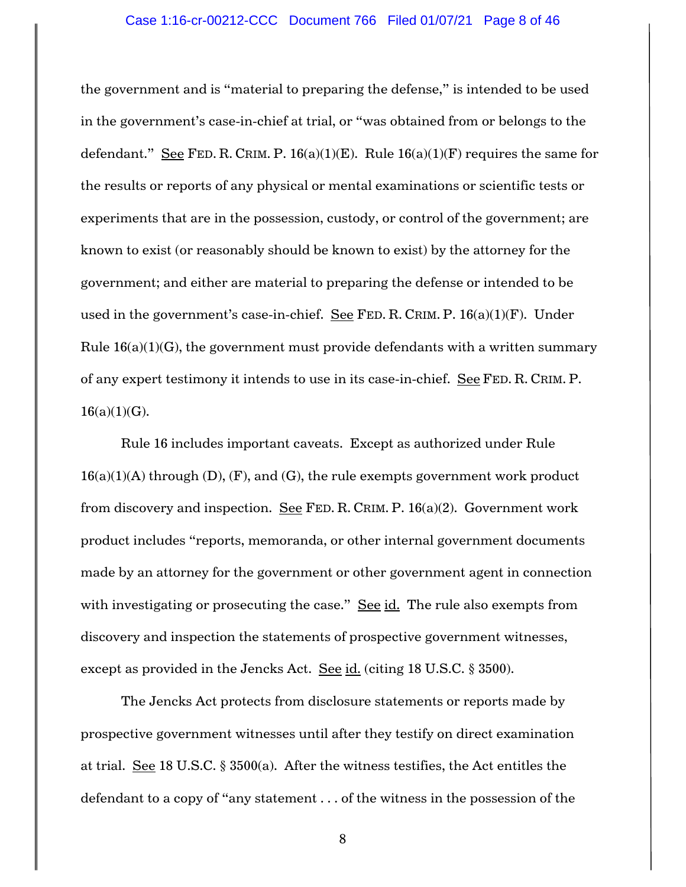# Case 1:16-cr-00212-CCC Document 766 Filed 01/07/21 Page 8 of 46

the government and is "material to preparing the defense," is intended to be used in the government's case-in-chief at trial, or "was obtained from or belongs to the defendant." See FED. R. CRIM. P.  $16(a)(1)(E)$ . Rule  $16(a)(1)(F)$  requires the same for the results or reports of any physical or mental examinations or scientific tests or experiments that are in the possession, custody, or control of the government; are known to exist (or reasonably should be known to exist) by the attorney for the government; and either are material to preparing the defense or intended to be used in the government's case-in-chief. See FED. R. CRIM. P.  $16(a)(1)(F)$ . Under Rule  $16(a)(1)(G)$ , the government must provide defendants with a written summary of any expert testimony it intends to use in its case-in-chief. See FED. R. CRIM. P.  $16(a)(1)(G)$ .

Rule 16 includes important caveats. Except as authorized under Rule  $16(a)(1)(A)$  through  $(D)$ ,  $(F)$ , and  $(G)$ , the rule exempts government work product from discovery and inspection. See FED. R. CRIM. P.  $16(a)(2)$ . Government work product includes "reports, memoranda, or other internal government documents made by an attorney for the government or other government agent in connection with investigating or prosecuting the case." See id. The rule also exempts from discovery and inspection the statements of prospective government witnesses, except as provided in the Jencks Act. See  $id.$  (citing 18 U.S.C. § 3500).

The Jencks Act protects from disclosure statements or reports made by prospective government witnesses until after they testify on direct examination at trial. See 18 U.S.C. § 3500(a). After the witness testifies, the Act entitles the defendant to a copy of "any statement . . . of the witness in the possession of the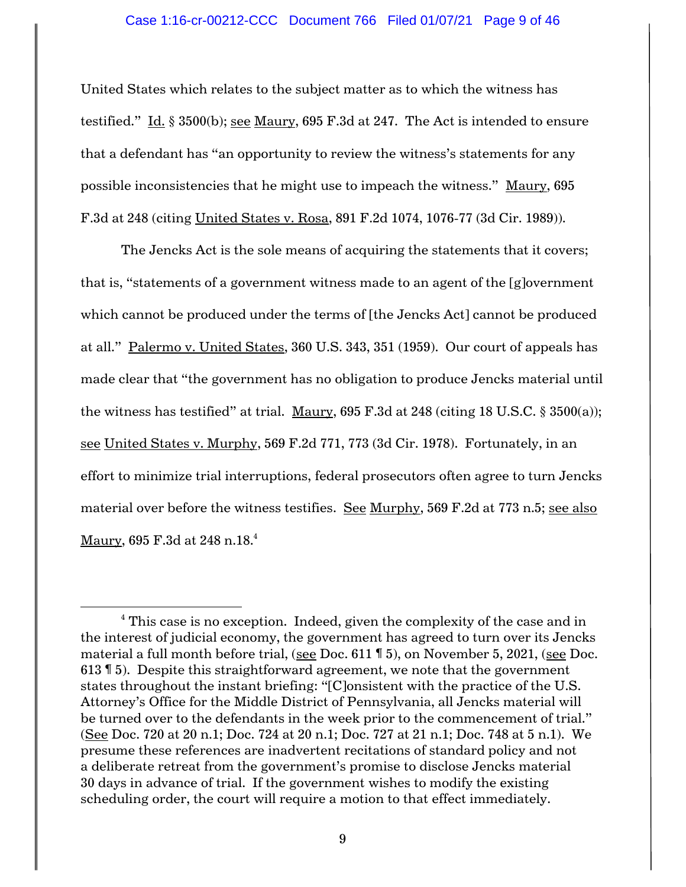### Case 1:16-cr-00212-CCC Document 766 Filed 01/07/21 Page 9 of 46

United States which relates to the subject matter as to which the witness has testified." Id. § 3500(b); see Maury, 695 F.3d at 247. The Act is intended to ensure that a defendant has "an opportunity to review the witness's statements for any possible inconsistencies that he might use to impeach the witness." Maury, 695 F.3d at 248 (citing United States v. Rosa, 891 F.2d 1074, 1076-77 (3d Cir. 1989)).

The Jencks Act is the sole means of acquiring the statements that it covers; that is, "statements of a government witness made to an agent of the [g]overnment which cannot be produced under the terms of [the Jencks Act] cannot be produced at all." Palermo v. United States, 360 U.S. 343, 351 (1959). Our court of appeals has made clear that "the government has no obligation to produce Jencks material until the witness has testified" at trial. Maury, 695 F.3d at 248 (citing 18 U.S.C.  $\S$  3500(a)); see United States v. Murphy, 569 F.2d 771, 773 (3d Cir. 1978). Fortunately, in an effort to minimize trial interruptions, federal prosecutors often agree to turn Jencks material over before the witness testifies. See Murphy, 569 F.2d at 773 n.5; see also Maury, 695 F.3d at 248 n.18.<sup>4</sup>

l

<sup>&</sup>lt;sup>4</sup> This case is no exception. Indeed, given the complexity of the case and in the interest of judicial economy, the government has agreed to turn over its Jencks material a full month before trial, (see Doc. 611 ¶ 5), on November 5, 2021, (see Doc. 613 ¶ 5). Despite this straightforward agreement, we note that the government states throughout the instant briefing: "[C]onsistent with the practice of the U.S. Attorney's Office for the Middle District of Pennsylvania, all Jencks material will be turned over to the defendants in the week prior to the commencement of trial." (See Doc. 720 at 20 n.1; Doc. 724 at 20 n.1; Doc. 727 at 21 n.1; Doc. 748 at 5 n.1). We presume these references are inadvertent recitations of standard policy and not a deliberate retreat from the government's promise to disclose Jencks material 30 days in advance of trial. If the government wishes to modify the existing scheduling order, the court will require a motion to that effect immediately.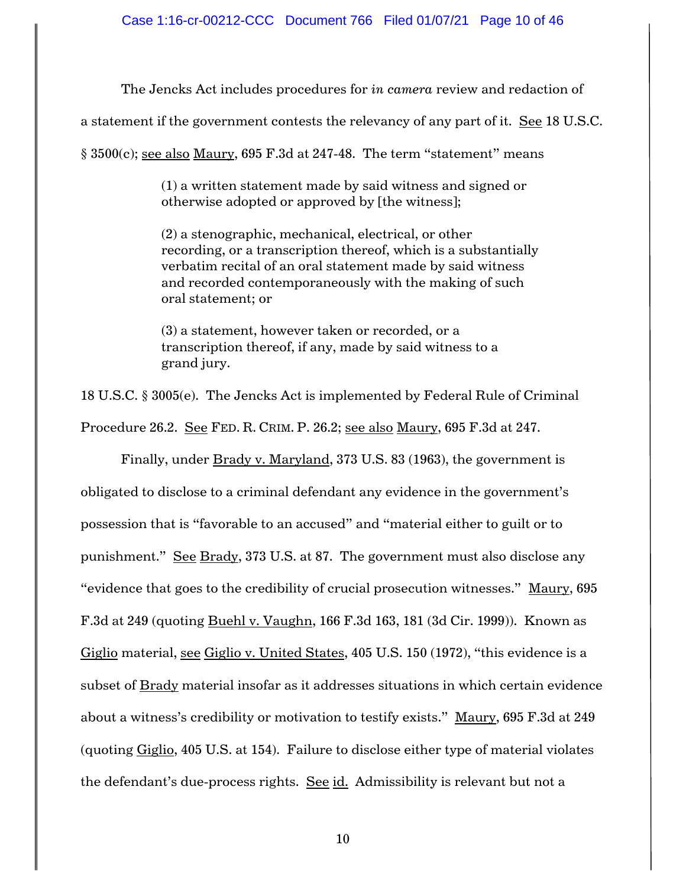The Jencks Act includes procedures for *in camera* review and redaction of

a statement if the government contests the relevancy of any part of it. See 18 U.S.C.

§ 3500(c); see also Maury, 695 F.3d at 247-48. The term "statement" means

(1) a written statement made by said witness and signed or otherwise adopted or approved by [the witness];

(2) a stenographic, mechanical, electrical, or other recording, or a transcription thereof, which is a substantially verbatim recital of an oral statement made by said witness and recorded contemporaneously with the making of such oral statement; or

(3) a statement, however taken or recorded, or a transcription thereof, if any, made by said witness to a grand jury.

18 U.S.C. § 3005(e). The Jencks Act is implemented by Federal Rule of Criminal

Procedure 26.2. See FED. R. CRIM. P. 26.2; see also Maury, 695 F.3d at 247.

Finally, under Brady v. Maryland, 373 U.S. 83 (1963), the government is obligated to disclose to a criminal defendant any evidence in the government's possession that is "favorable to an accused" and "material either to guilt or to punishment." See Brady, 373 U.S. at 87. The government must also disclose any "evidence that goes to the credibility of crucial prosecution witnesses." Maury, 695 F.3d at 249 (quoting Buehl v. Vaughn, 166 F.3d 163, 181 (3d Cir. 1999)). Known as Giglio material, see Giglio v. United States, 405 U.S. 150 (1972), "this evidence is a subset of Brady material insofar as it addresses situations in which certain evidence about a witness's credibility or motivation to testify exists." Maury, 695 F.3d at 249 (quoting Giglio, 405 U.S. at 154). Failure to disclose either type of material violates the defendant's due-process rights. See id. Admissibility is relevant but not a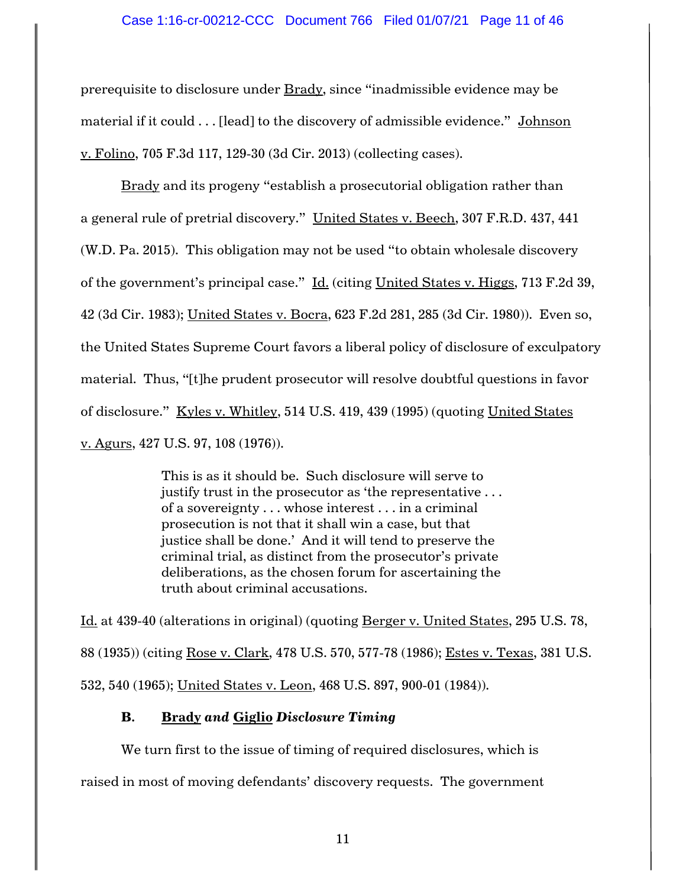# Case 1:16-cr-00212-CCC Document 766 Filed 01/07/21 Page 11 of 46

prerequisite to disclosure under Brady, since "inadmissible evidence may be material if it could . . . [lead] to the discovery of admissible evidence." Johnson v. Folino, 705 F.3d 117, 129-30 (3d Cir. 2013) (collecting cases).

Brady and its progeny "establish a prosecutorial obligation rather than a general rule of pretrial discovery." United States v. Beech, 307 F.R.D. 437, 441 (W.D. Pa. 2015). This obligation may not be used "to obtain wholesale discovery of the government's principal case." Id. (citing United States v. Higgs, 713 F.2d 39, 42 (3d Cir. 1983); United States v. Bocra, 623 F.2d 281, 285 (3d Cir. 1980)). Even so, the United States Supreme Court favors a liberal policy of disclosure of exculpatory material. Thus, "[t]he prudent prosecutor will resolve doubtful questions in favor of disclosure." Kyles v. Whitley, 514 U.S. 419, 439 (1995) (quoting United States v. Agurs, 427 U.S. 97, 108 (1976)).

> This is as it should be. Such disclosure will serve to justify trust in the prosecutor as 'the representative . . . of a sovereignty . . . whose interest . . . in a criminal prosecution is not that it shall win a case, but that justice shall be done.' And it will tend to preserve the criminal trial, as distinct from the prosecutor's private deliberations, as the chosen forum for ascertaining the truth about criminal accusations.

Id. at 439-40 (alterations in original) (quoting Berger v. United States, 295 U.S. 78, 88 (1935)) (citing Rose v. Clark, 478 U.S. 570, 577-78 (1986); Estes v. Texas, 381 U.S. 532, 540 (1965); United States v. Leon, 468 U.S. 897, 900-01 (1984)).

# **B. Brady** *and* **Giglio** *Disclosure Timing*

We turn first to the issue of timing of required disclosures, which is raised in most of moving defendants' discovery requests. The government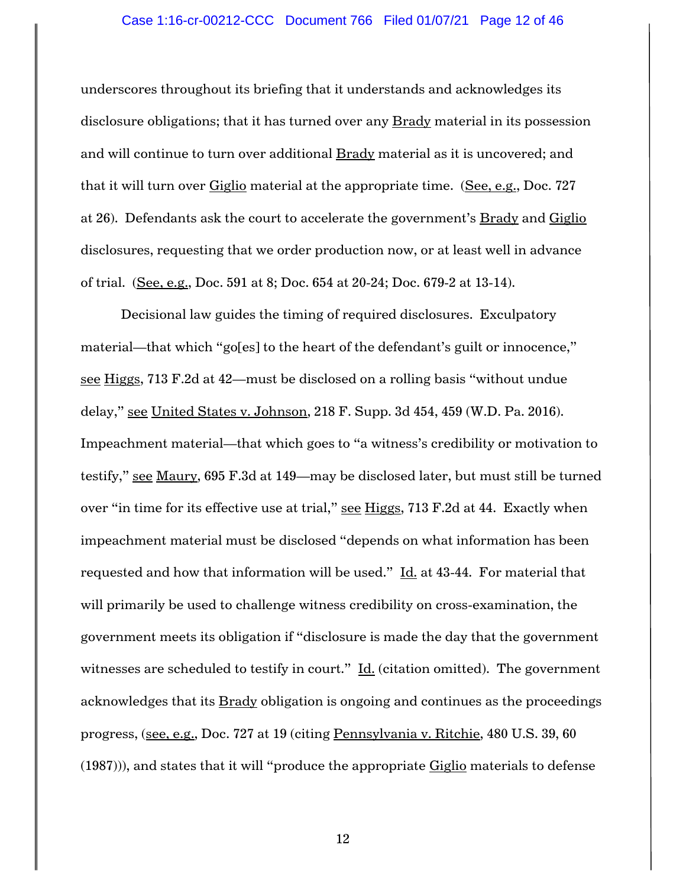# Case 1:16-cr-00212-CCC Document 766 Filed 01/07/21 Page 12 of 46

underscores throughout its briefing that it understands and acknowledges its disclosure obligations; that it has turned over any Brady material in its possession and will continue to turn over additional Brady material as it is uncovered; and that it will turn over Giglio material at the appropriate time. (See, e.g., Doc. 727 at 26). Defendants ask the court to accelerate the government's Brady and Giglio disclosures, requesting that we order production now, or at least well in advance of trial. (See, e.g., Doc. 591 at 8; Doc. 654 at 20-24; Doc. 679-2 at 13-14).

Decisional law guides the timing of required disclosures. Exculpatory material—that which "go[es] to the heart of the defendant's guilt or innocence," see Higgs, 713 F.2d at 42—must be disclosed on a rolling basis "without undue delay," see United States v. Johnson, 218 F. Supp. 3d 454, 459 (W.D. Pa. 2016). Impeachment material—that which goes to "a witness's credibility or motivation to testify," see Maury, 695 F.3d at 149—may be disclosed later, but must still be turned over "in time for its effective use at trial," see Higgs, 713 F.2d at 44. Exactly when impeachment material must be disclosed "depends on what information has been requested and how that information will be used."  $\underline{\text{Id}}$  at 43-44. For material that will primarily be used to challenge witness credibility on cross-examination, the government meets its obligation if "disclosure is made the day that the government witnesses are scheduled to testify in court."  $\underline{Id}$ . (citation omitted). The government acknowledges that its **Brady** obligation is ongoing and continues as the proceedings progress, (see, e.g., Doc. 727 at 19 (citing Pennsylvania v. Ritchie, 480 U.S. 39, 60  $(1987)$ ), and states that it will "produce the appropriate  $Giglio$  materials to defense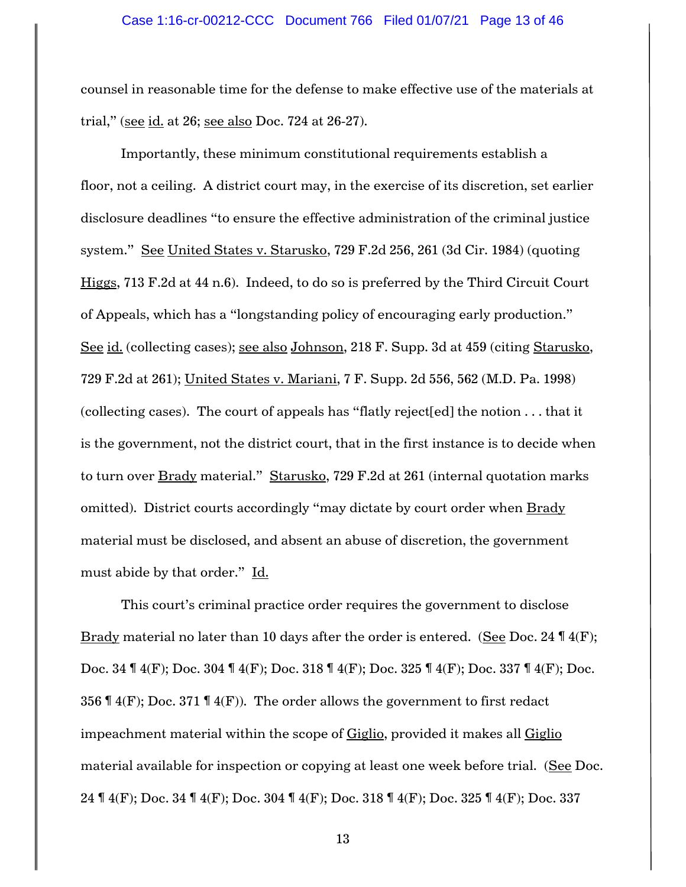counsel in reasonable time for the defense to make effective use of the materials at trial," (see id. at 26; see also Doc. 724 at 26-27).

Importantly, these minimum constitutional requirements establish a floor, not a ceiling. A district court may, in the exercise of its discretion, set earlier disclosure deadlines "to ensure the effective administration of the criminal justice system." See United States v. Starusko, 729 F.2d 256, 261 (3d Cir. 1984) (quoting Higgs, 713 F.2d at 44 n.6). Indeed, to do so is preferred by the Third Circuit Court of Appeals, which has a "longstanding policy of encouraging early production." See id. (collecting cases); see also Johnson, 218 F. Supp. 3d at 459 (citing Starusko, 729 F.2d at 261); United States v. Mariani, 7 F. Supp. 2d 556, 562 (M.D. Pa. 1998) (collecting cases). The court of appeals has "flatly reject[ed] the notion . . . that it is the government, not the district court, that in the first instance is to decide when to turn over Brady material." Starusko, 729 F.2d at 261 (internal quotation marks omitted). District courts accordingly "may dictate by court order when Brady material must be disclosed, and absent an abuse of discretion, the government must abide by that order." Id.

This court's criminal practice order requires the government to disclose Brady material no later than 10 days after the order is entered. (See Doc. 24  $\P$  4(F); Doc. 34 ¶ 4(F); Doc. 304 ¶ 4(F); Doc. 318 ¶ 4(F); Doc. 325 ¶ 4(F); Doc. 337 ¶ 4(F); Doc. 356  $\P$  4(F); Doc. 371  $\P$  4(F)). The order allows the government to first redact impeachment material within the scope of Giglio, provided it makes all Giglio material available for inspection or copying at least one week before trial. (See Doc. 24 ¶ 4(F); Doc. 34 ¶ 4(F); Doc. 304 ¶ 4(F); Doc. 318 ¶ 4(F); Doc. 325 ¶ 4(F); Doc. 337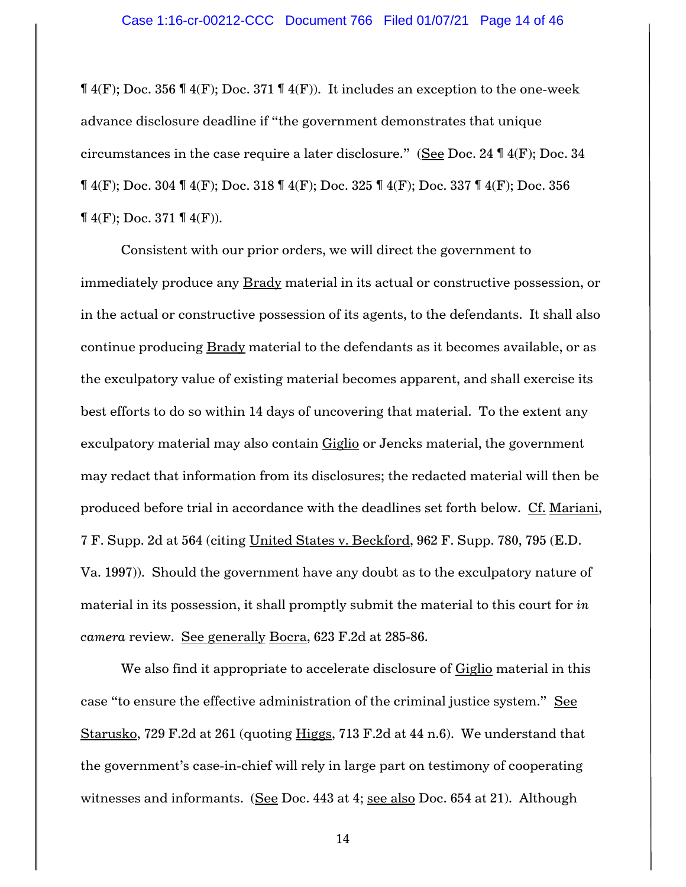$\P$  4(F); Doc. 356  $\P$  4(F); Doc. 371  $\P$  4(F)). It includes an exception to the one-week advance disclosure deadline if "the government demonstrates that unique circumstances in the case require a later disclosure." (See Doc. 24  $\P$  4(F); Doc. 34  $\P$  4(F); Doc. 304  $\P$  4(F); Doc. 318  $\P$  4(F); Doc. 325  $\P$  4(F); Doc. 337  $\P$  4(F); Doc. 356  $\P(4(F); \text{Doc. } 371 \, \P(4(F)).$ 

Consistent with our prior orders, we will direct the government to immediately produce any **Brady** material in its actual or constructive possession, or in the actual or constructive possession of its agents, to the defendants. It shall also continue producing Brady material to the defendants as it becomes available, or as the exculpatory value of existing material becomes apparent, and shall exercise its best efforts to do so within 14 days of uncovering that material. To the extent any exculpatory material may also contain Giglio or Jencks material, the government may redact that information from its disclosures; the redacted material will then be produced before trial in accordance with the deadlines set forth below. Cf. Mariani, 7 F. Supp. 2d at 564 (citing United States v. Beckford, 962 F. Supp. 780, 795 (E.D. Va. 1997)). Should the government have any doubt as to the exculpatory nature of material in its possession, it shall promptly submit the material to this court for *in camera* review. See generally Bocra, 623 F.2d at 285-86.

We also find it appropriate to accelerate disclosure of Giglio material in this case "to ensure the effective administration of the criminal justice system." See Starusko, 729 F.2d at 261 (quoting Higgs, 713 F.2d at 44 n.6). We understand that the government's case-in-chief will rely in large part on testimony of cooperating witnesses and informants. (See Doc. 443 at 4; see also Doc. 654 at 21). Although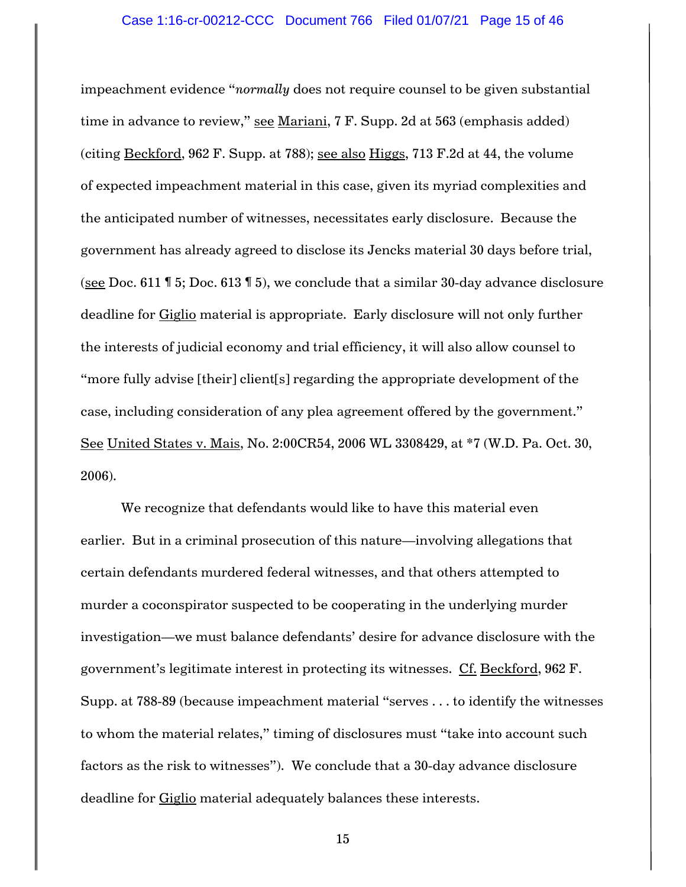impeachment evidence "*normally* does not require counsel to be given substantial time in advance to review," see Mariani, 7 F. Supp. 2d at 563 (emphasis added) (citing Beckford, 962 F. Supp. at 788); see also Higgs, 713 F.2d at 44, the volume of expected impeachment material in this case, given its myriad complexities and the anticipated number of witnesses, necessitates early disclosure. Because the government has already agreed to disclose its Jencks material 30 days before trial, (see Doc. 611 ¶ 5; Doc. 613 ¶ 5), we conclude that a similar 30-day advance disclosure deadline for Giglio material is appropriate. Early disclosure will not only further the interests of judicial economy and trial efficiency, it will also allow counsel to "more fully advise [their] client[s] regarding the appropriate development of the case, including consideration of any plea agreement offered by the government." See United States v. Mais, No. 2:00CR54, 2006 WL 3308429, at \*7 (W.D. Pa. Oct. 30, 2006).

We recognize that defendants would like to have this material even earlier. But in a criminal prosecution of this nature—involving allegations that certain defendants murdered federal witnesses, and that others attempted to murder a coconspirator suspected to be cooperating in the underlying murder investigation—we must balance defendants' desire for advance disclosure with the government's legitimate interest in protecting its witnesses. Cf. Beckford, 962 F. Supp. at 788-89 (because impeachment material "serves . . . to identify the witnesses to whom the material relates," timing of disclosures must "take into account such factors as the risk to witnesses"). We conclude that a 30-day advance disclosure deadline for Giglio material adequately balances these interests.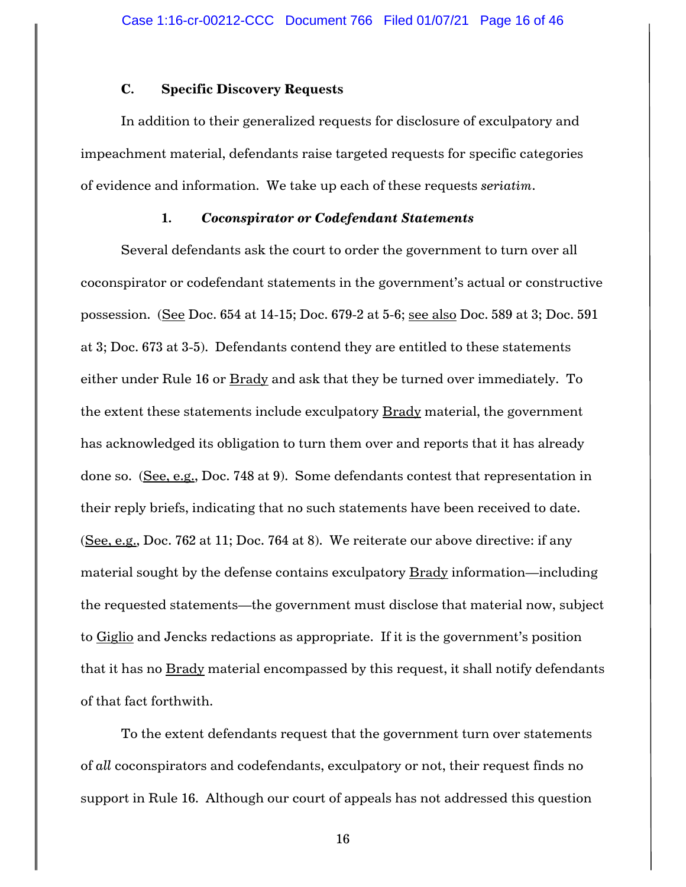# **C. Specific Discovery Requests**

In addition to their generalized requests for disclosure of exculpatory and impeachment material, defendants raise targeted requests for specific categories of evidence and information. We take up each of these requests *seriatim*.

# **1.** *Coconspirator or Codefendant Statements*

Several defendants ask the court to order the government to turn over all coconspirator or codefendant statements in the government's actual or constructive possession. (See Doc. 654 at 14-15; Doc. 679-2 at 5-6; see also Doc. 589 at 3; Doc. 591 at 3; Doc. 673 at 3-5). Defendants contend they are entitled to these statements either under Rule 16 or Brady and ask that they be turned over immediately. To the extent these statements include exculpatory **Brady** material, the government has acknowledged its obligation to turn them over and reports that it has already done so. (See, e.g., Doc. 748 at 9). Some defendants contest that representation in their reply briefs, indicating that no such statements have been received to date. (See, e.g., Doc. 762 at 11; Doc. 764 at 8). We reiterate our above directive: if any material sought by the defense contains exculpatory **Brady** information—including the requested statements—the government must disclose that material now, subject to Giglio and Jencks redactions as appropriate. If it is the government's position that it has no  $\underline{\text{Brady}}$  material encompassed by this request, it shall notify defendants of that fact forthwith.

To the extent defendants request that the government turn over statements of *all* coconspirators and codefendants, exculpatory or not, their request finds no support in Rule 16. Although our court of appeals has not addressed this question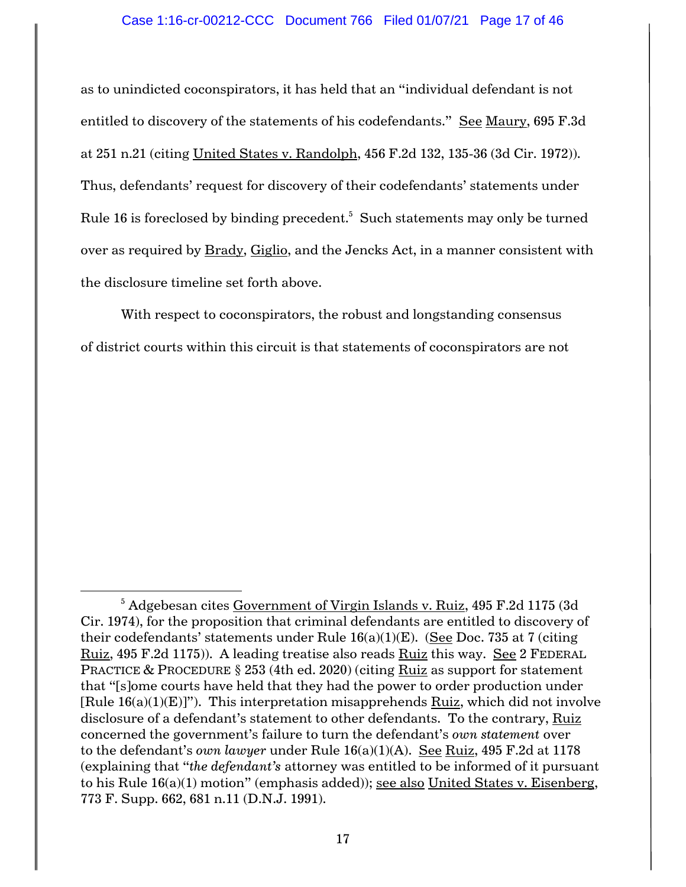### Case 1:16-cr-00212-CCC Document 766 Filed 01/07/21 Page 17 of 46

as to unindicted coconspirators, it has held that an "individual defendant is not entitled to discovery of the statements of his codefendants." See Maury, 695 F.3d at 251 n.21 (citing United States v. Randolph, 456 F.2d 132, 135-36 (3d Cir. 1972)). Thus, defendants' request for discovery of their codefendants' statements under Rule 16 is foreclosed by binding precedent. $^5\,$  Such statements may only be turned over as required by Brady, Giglio, and the Jencks Act, in a manner consistent with the disclosure timeline set forth above.

With respect to coconspirators, the robust and longstanding consensus of district courts within this circuit is that statements of coconspirators are not

 $\overline{\phantom{a}}$ 

<sup>5</sup> Adgebesan cites Government of Virgin Islands v. Ruiz, 495 F.2d 1175 (3d Cir. 1974), for the proposition that criminal defendants are entitled to discovery of their codefendants' statements under Rule  $16(a)(1)(E)$ . (See Doc. 735 at 7 (citing Ruiz, 495 F.2d 1175)). A leading treatise also reads Ruiz this way. See 2 FEDERAL PRACTICE & PROCEDURE § 253 (4th ed. 2020) (citing Ruiz as support for statement that "[s]ome courts have held that they had the power to order production under  $[Rule 16(a)(1)(E)]$ "). This interpretation misapprehends Ruiz, which did not involve disclosure of a defendant's statement to other defendants. To the contrary, Ruiz concerned the government's failure to turn the defendant's *own statement* over to the defendant's *own lawyer* under Rule 16(a)(1)(A). See Ruiz, 495 F.2d at 1178 (explaining that "*the defendant's* attorney was entitled to be informed of it pursuant to his Rule 16(a)(1) motion" (emphasis added)); see also United States v. Eisenberg, 773 F. Supp. 662, 681 n.11 (D.N.J. 1991).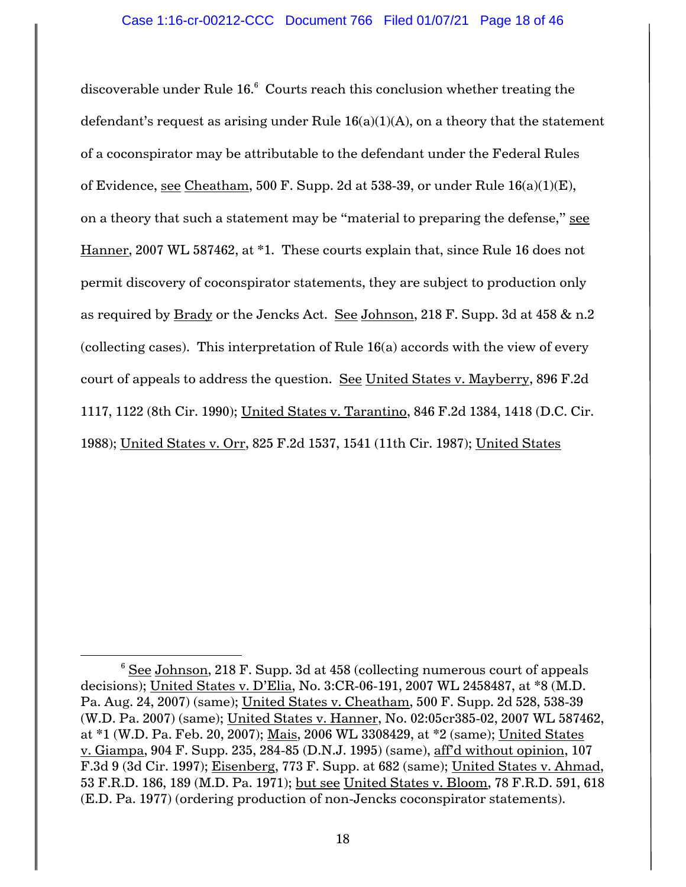discoverable under Rule 16. $^6$  Courts reach this conclusion whether treating the defendant's request as arising under Rule  $16(a)(1)(A)$ , on a theory that the statement of a coconspirator may be attributable to the defendant under the Federal Rules of Evidence, see Cheatham, 500 F. Supp. 2d at 538-39, or under Rule  $16(a)(1)(E)$ , on a theory that such a statement may be "material to preparing the defense," see Hanner, 2007 WL 587462, at \*1. These courts explain that, since Rule 16 does not permit discovery of coconspirator statements, they are subject to production only as required by Brady or the Jencks Act. See Johnson, 218 F. Supp. 3d at 458 & n.2 (collecting cases). This interpretation of Rule 16(a) accords with the view of every court of appeals to address the question. See United States v. Mayberry, 896 F.2d 1117, 1122 (8th Cir. 1990); United States v. Tarantino, 846 F.2d 1384, 1418 (D.C. Cir. 1988); United States v. Orr, 825 F.2d 1537, 1541 (11th Cir. 1987); United States

l

 $6$  See Johnson, 218 F. Supp. 3d at 458 (collecting numerous court of appeals decisions); United States v. D'Elia, No. 3:CR-06-191, 2007 WL 2458487, at \*8 (M.D. Pa. Aug. 24, 2007) (same); United States v. Cheatham, 500 F. Supp. 2d 528, 538-39 (W.D. Pa. 2007) (same); United States v. Hanner, No. 02:05cr385-02, 2007 WL 587462, at \*1 (W.D. Pa. Feb. 20, 2007); Mais, 2006 WL 3308429, at \*2 (same); United States v. Giampa, 904 F. Supp. 235, 284-85 (D.N.J. 1995) (same), aff'd without opinion, 107 F.3d 9 (3d Cir. 1997); Eisenberg, 773 F. Supp. at 682 (same); United States v. Ahmad, 53 F.R.D. 186, 189 (M.D. Pa. 1971); but see United States v. Bloom, 78 F.R.D. 591, 618 (E.D. Pa. 1977) (ordering production of non-Jencks coconspirator statements).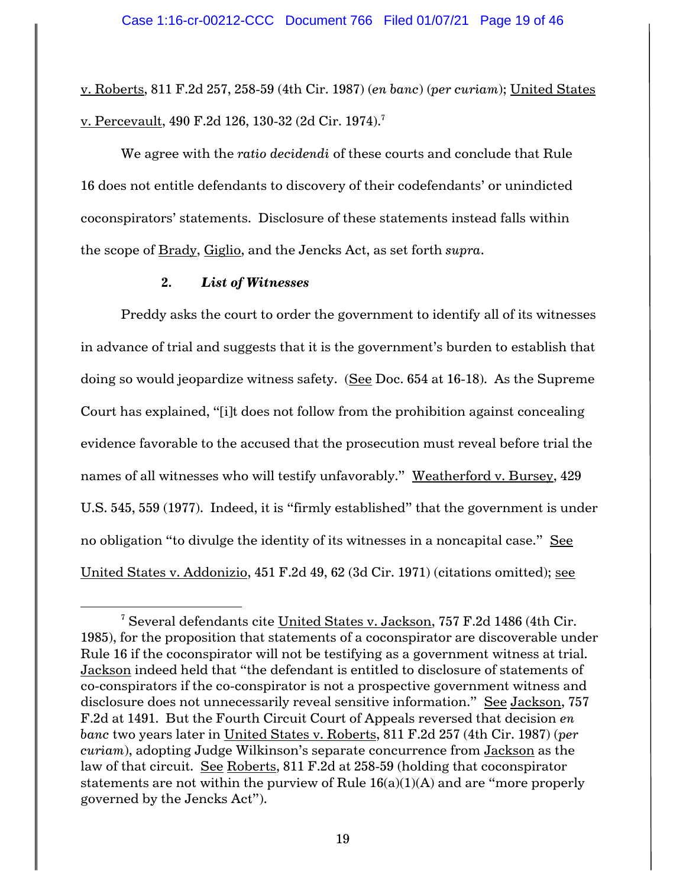v. Roberts, 811 F.2d 257, 258-59 (4th Cir. 1987) (*en banc*) (*per curiam*); United States v. Percevault, 490 F.2d 126, 130-32 (2d Cir. 1974).<sup>7</sup>

We agree with the *ratio decidendi* of these courts and conclude that Rule 16 does not entitle defendants to discovery of their codefendants' or unindicted coconspirators' statements. Disclosure of these statements instead falls within the scope of Brady, Giglio, and the Jencks Act, as set forth *supra*.

#### **2.** *List of Witnesses*

l

Preddy asks the court to order the government to identify all of its witnesses in advance of trial and suggests that it is the government's burden to establish that doing so would jeopardize witness safety. (See Doc. 654 at 16-18). As the Supreme Court has explained, "[i]t does not follow from the prohibition against concealing evidence favorable to the accused that the prosecution must reveal before trial the names of all witnesses who will testify unfavorably." Weatherford v. Bursey, 429 U.S. 545, 559 (1977). Indeed, it is "firmly established" that the government is under no obligation "to divulge the identity of its witnesses in a noncapital case." See United States v. Addonizio, 451 F.2d 49, 62 (3d Cir. 1971) (citations omitted); see

<sup>&</sup>lt;sup>7</sup> Several defendants cite United States v. Jackson, 757 F.2d 1486 (4th Cir. 1985), for the proposition that statements of a coconspirator are discoverable under Rule 16 if the coconspirator will not be testifying as a government witness at trial. Jackson indeed held that "the defendant is entitled to disclosure of statements of co-conspirators if the co-conspirator is not a prospective government witness and disclosure does not unnecessarily reveal sensitive information." See Jackson, 757 F.2d at 1491. But the Fourth Circuit Court of Appeals reversed that decision *en banc* two years later in United States v. Roberts, 811 F.2d 257 (4th Cir. 1987) (*per curiam*), adopting Judge Wilkinson's separate concurrence from Jackson as the law of that circuit. See Roberts, 811 F.2d at 258-59 (holding that coconspirator statements are not within the purview of Rule  $16(a)(1)(A)$  and are "more properly governed by the Jencks Act").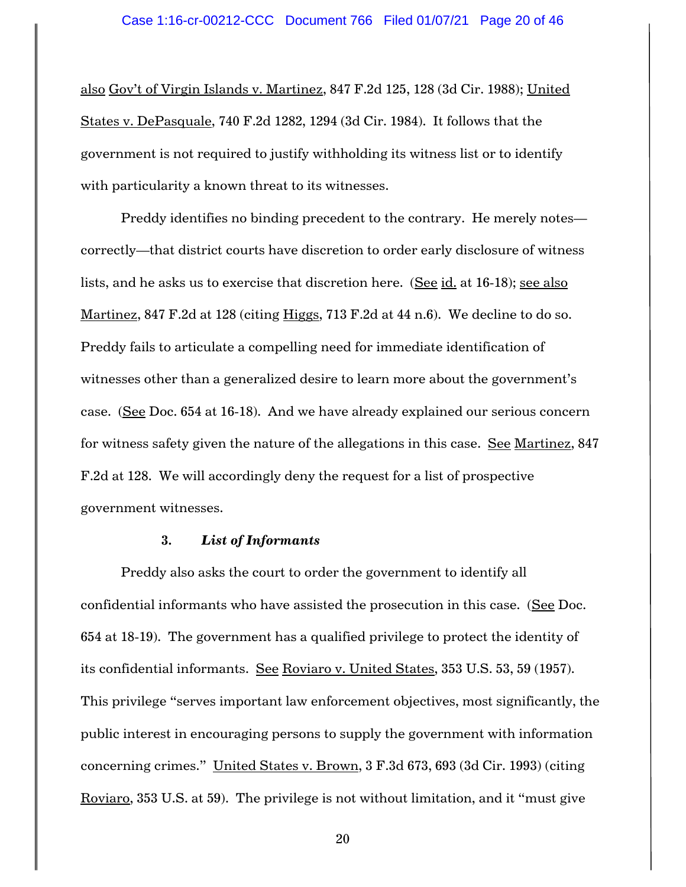also Gov't of Virgin Islands v. Martinez, 847 F.2d 125, 128 (3d Cir. 1988); United States v. DePasquale, 740 F.2d 1282, 1294 (3d Cir. 1984). It follows that the government is not required to justify withholding its witness list or to identify with particularity a known threat to its witnesses.

Preddy identifies no binding precedent to the contrary. He merely notes correctly—that district courts have discretion to order early disclosure of witness lists, and he asks us to exercise that discretion here. (See id. at 16-18); see also Martinez, 847 F.2d at 128 (citing Higgs, 713 F.2d at 44 n.6). We decline to do so. Preddy fails to articulate a compelling need for immediate identification of witnesses other than a generalized desire to learn more about the government's case. (See Doc. 654 at 16-18). And we have already explained our serious concern for witness safety given the nature of the allegations in this case. See Martinez, 847 F.2d at 128. We will accordingly deny the request for a list of prospective government witnesses.

# **3.** *List of Informants*

Preddy also asks the court to order the government to identify all confidential informants who have assisted the prosecution in this case. (See Doc. 654 at 18-19). The government has a qualified privilege to protect the identity of its confidential informants. See Roviaro v. United States, 353 U.S. 53, 59 (1957). This privilege "serves important law enforcement objectives, most significantly, the public interest in encouraging persons to supply the government with information concerning crimes." United States v. Brown, 3 F.3d 673, 693 (3d Cir. 1993) (citing Roviaro, 353 U.S. at 59). The privilege is not without limitation, and it "must give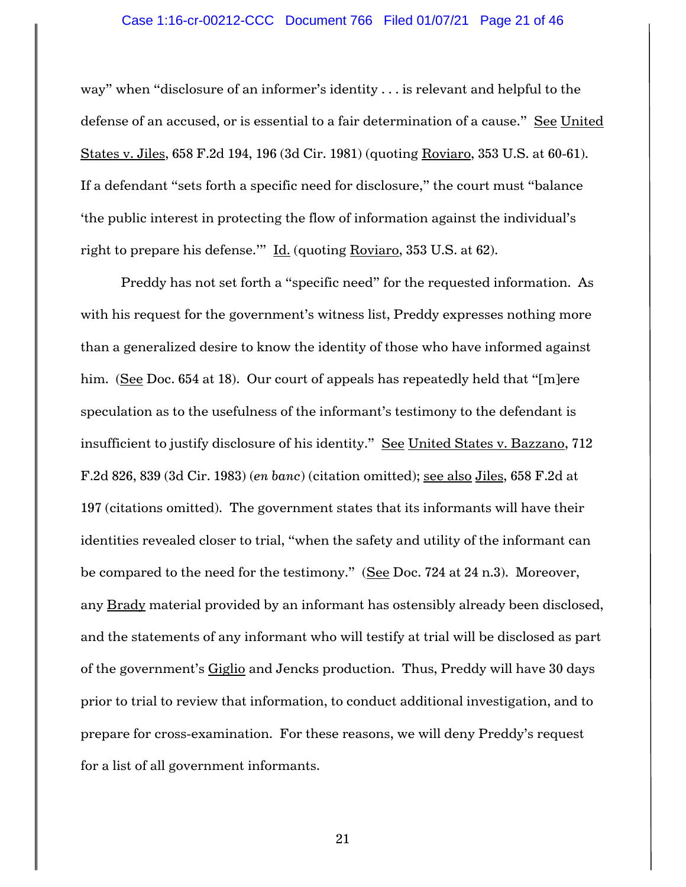# Case 1:16-cr-00212-CCC Document 766 Filed 01/07/21 Page 21 of 46

way" when "disclosure of an informer's identity . . . is relevant and helpful to the defense of an accused, or is essential to a fair determination of a cause." See United States v. Jiles, 658 F.2d 194, 196 (3d Cir. 1981) (quoting Roviaro, 353 U.S. at 60-61). If a defendant "sets forth a specific need for disclosure," the court must "balance 'the public interest in protecting the flow of information against the individual's right to prepare his defense.'" Id. (quoting Roviaro, 353 U.S. at 62).

Preddy has not set forth a "specific need" for the requested information. As with his request for the government's witness list, Preddy expresses nothing more than a generalized desire to know the identity of those who have informed against him. (See Doc. 654 at 18). Our court of appeals has repeatedly held that "[m]ere speculation as to the usefulness of the informant's testimony to the defendant is insufficient to justify disclosure of his identity." See United States v. Bazzano, 712 F.2d 826, 839 (3d Cir. 1983) (*en banc*) (citation omitted); see also Jiles, 658 F.2d at 197 (citations omitted). The government states that its informants will have their identities revealed closer to trial, "when the safety and utility of the informant can be compared to the need for the testimony." (See Doc. 724 at 24 n.3). Moreover, any Brady material provided by an informant has ostensibly already been disclosed, and the statements of any informant who will testify at trial will be disclosed as part of the government's Giglio and Jencks production. Thus, Preddy will have 30 days prior to trial to review that information, to conduct additional investigation, and to prepare for cross-examination. For these reasons, we will deny Preddy's request for a list of all government informants.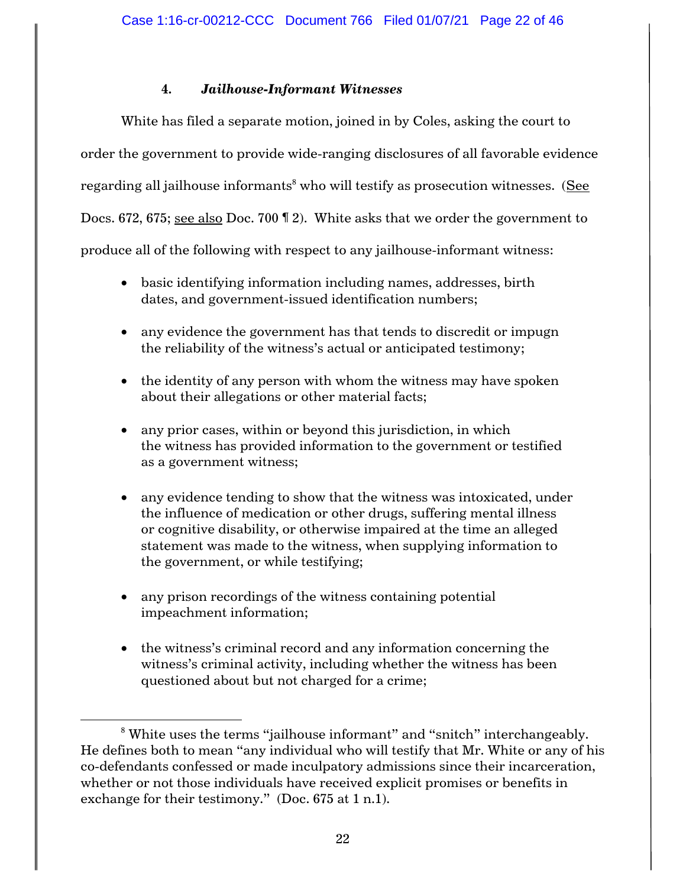# **4.** *Jailhouse-Informant Witnesses*

White has filed a separate motion, joined in by Coles, asking the court to order the government to provide wide-ranging disclosures of all favorable evidence regarding all jailhouse informants<sup>8</sup> who will testify as prosecution witnesses. (See Docs. 672, 675; see also Doc. 700 ¶ 2). White asks that we order the government to produce all of the following with respect to any jailhouse-informant witness:

- basic identifying information including names, addresses, birth dates, and government-issued identification numbers;
- any evidence the government has that tends to discredit or impugn the reliability of the witness's actual or anticipated testimony;
- the identity of any person with whom the witness may have spoken about their allegations or other material facts;
- any prior cases, within or beyond this jurisdiction, in which the witness has provided information to the government or testified as a government witness;
- any evidence tending to show that the witness was intoxicated, under the influence of medication or other drugs, suffering mental illness or cognitive disability, or otherwise impaired at the time an alleged statement was made to the witness, when supplying information to the government, or while testifying;
- any prison recordings of the witness containing potential impeachment information;

 $\overline{\phantom{a}}$ 

• the witness's criminal record and any information concerning the witness's criminal activity, including whether the witness has been questioned about but not charged for a crime;

<sup>&</sup>lt;sup>8</sup> White uses the terms "jailhouse informant" and "snitch" interchangeably. He defines both to mean "any individual who will testify that Mr. White or any of his co-defendants confessed or made inculpatory admissions since their incarceration, whether or not those individuals have received explicit promises or benefits in exchange for their testimony." (Doc. 675 at 1 n.1).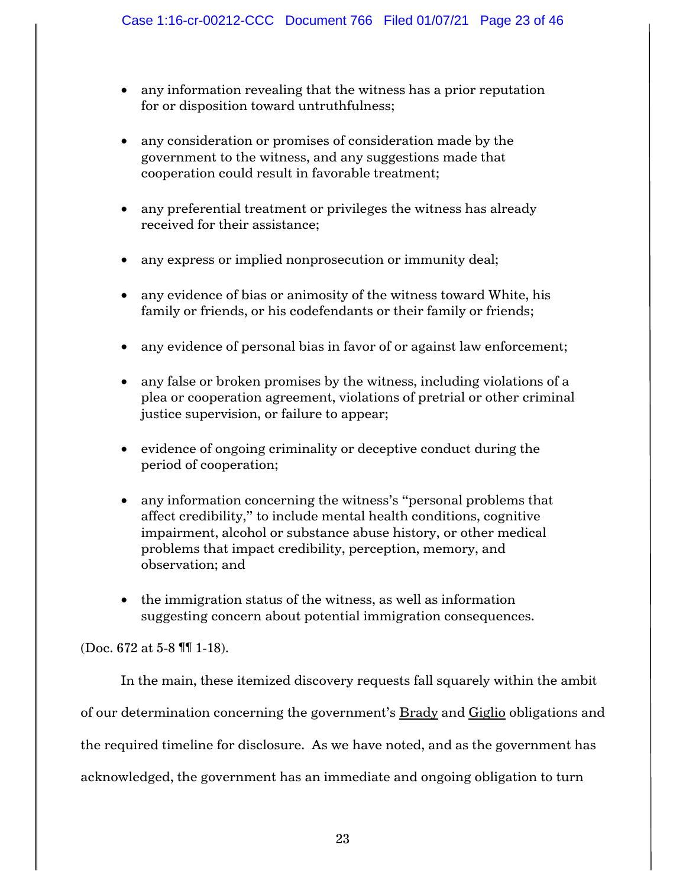- any information revealing that the witness has a prior reputation for or disposition toward untruthfulness;
- any consideration or promises of consideration made by the government to the witness, and any suggestions made that cooperation could result in favorable treatment;
- any preferential treatment or privileges the witness has already received for their assistance;
- any express or implied nonprosecution or immunity deal;
- any evidence of bias or animosity of the witness toward White, his family or friends, or his codefendants or their family or friends;
- any evidence of personal bias in favor of or against law enforcement;
- any false or broken promises by the witness, including violations of a plea or cooperation agreement, violations of pretrial or other criminal justice supervision, or failure to appear;
- evidence of ongoing criminality or deceptive conduct during the period of cooperation;
- any information concerning the witness's "personal problems that affect credibility," to include mental health conditions, cognitive impairment, alcohol or substance abuse history, or other medical problems that impact credibility, perception, memory, and observation; and
- the immigration status of the witness, as well as information suggesting concern about potential immigration consequences.

(Doc. 672 at 5-8 ¶¶ 1-18).

In the main, these itemized discovery requests fall squarely within the ambit of our determination concerning the government's **Brady** and Giglio obligations and the required timeline for disclosure. As we have noted, and as the government has acknowledged, the government has an immediate and ongoing obligation to turn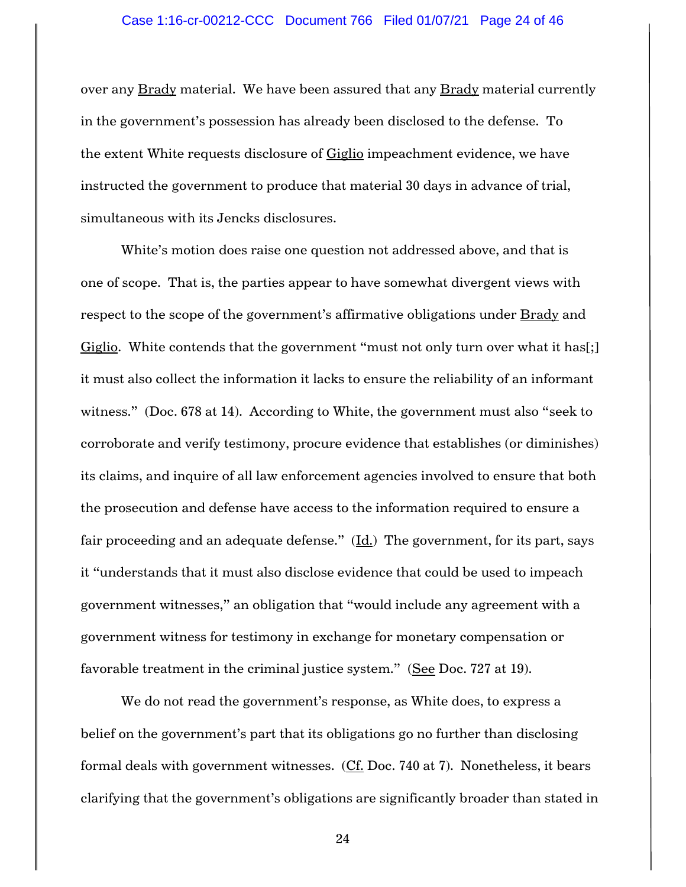#### Case 1:16-cr-00212-CCC Document 766 Filed 01/07/21 Page 24 of 46

over any Brady material. We have been assured that any Brady material currently in the government's possession has already been disclosed to the defense. To the extent White requests disclosure of Giglio impeachment evidence, we have instructed the government to produce that material 30 days in advance of trial, simultaneous with its Jencks disclosures.

White's motion does raise one question not addressed above, and that is one of scope. That is, the parties appear to have somewhat divergent views with respect to the scope of the government's affirmative obligations under Brady and Giglio. White contends that the government "must not only turn over what it has<sup>[</sup>;] it must also collect the information it lacks to ensure the reliability of an informant witness." (Doc. 678 at 14). According to White, the government must also "seek to corroborate and verify testimony, procure evidence that establishes (or diminishes) its claims, and inquire of all law enforcement agencies involved to ensure that both the prosecution and defense have access to the information required to ensure a fair proceeding and an adequate defense."  $(\underline{Id})$  The government, for its part, says it "understands that it must also disclose evidence that could be used to impeach government witnesses," an obligation that "would include any agreement with a government witness for testimony in exchange for monetary compensation or favorable treatment in the criminal justice system." (See Doc. 727 at 19).

We do not read the government's response, as White does, to express a belief on the government's part that its obligations go no further than disclosing formal deals with government witnesses. (Cf. Doc. 740 at 7). Nonetheless, it bears clarifying that the government's obligations are significantly broader than stated in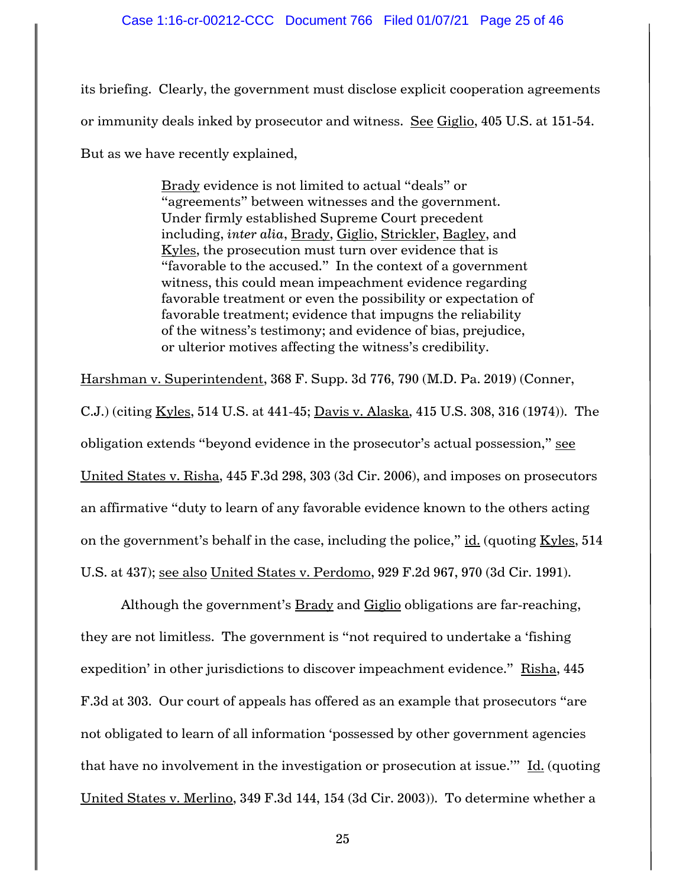its briefing. Clearly, the government must disclose explicit cooperation agreements or immunity deals inked by prosecutor and witness. See Giglio, 405 U.S. at 151-54. But as we have recently explained,

> Brady evidence is not limited to actual "deals" or "agreements" between witnesses and the government. Under firmly established Supreme Court precedent including, *inter alia*, Brady, Giglio, Strickler, Bagley, and Kyles, the prosecution must turn over evidence that is "favorable to the accused." In the context of a government witness, this could mean impeachment evidence regarding favorable treatment or even the possibility or expectation of favorable treatment; evidence that impugns the reliability of the witness's testimony; and evidence of bias, prejudice, or ulterior motives affecting the witness's credibility.

Harshman v. Superintendent, 368 F. Supp. 3d 776, 790 (M.D. Pa. 2019) (Conner, C.J.) (citing Kyles, 514 U.S. at 441-45; Davis v. Alaska, 415 U.S. 308, 316 (1974)). The obligation extends "beyond evidence in the prosecutor's actual possession," see United States v. Risha, 445 F.3d 298, 303 (3d Cir. 2006), and imposes on prosecutors an affirmative "duty to learn of any favorable evidence known to the others acting on the government's behalf in the case, including the police," id. (quoting Kyles, 514 U.S. at 437); see also United States v. Perdomo, 929 F.2d 967, 970 (3d Cir. 1991).

Although the government's Brady and Giglio obligations are far-reaching, they are not limitless. The government is "not required to undertake a 'fishing expedition' in other jurisdictions to discover impeachment evidence." Risha, 445 F.3d at 303. Our court of appeals has offered as an example that prosecutors "are not obligated to learn of all information 'possessed by other government agencies that have no involvement in the investigation or prosecution at issue.'" Id. (quoting United States v. Merlino, 349 F.3d 144, 154 (3d Cir. 2003)). To determine whether a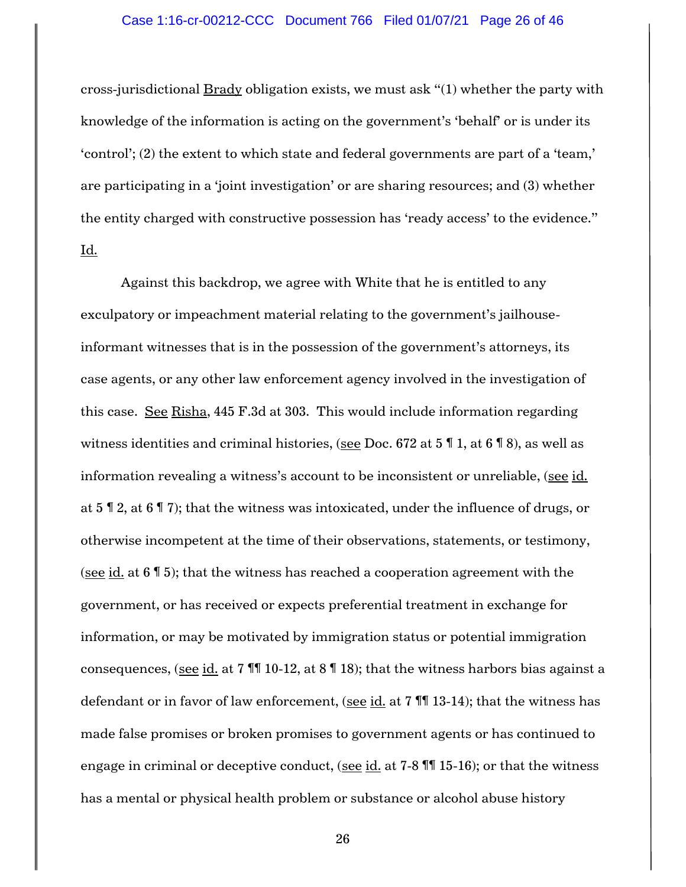#### Case 1:16-cr-00212-CCC Document 766 Filed 01/07/21 Page 26 of 46

cross-jurisdictional Brady obligation exists, we must ask "(1) whether the party with knowledge of the information is acting on the government's 'behalf' or is under its 'control'; (2) the extent to which state and federal governments are part of a 'team,' are participating in a 'joint investigation' or are sharing resources; and (3) whether the entity charged with constructive possession has 'ready access' to the evidence." Id.

Against this backdrop, we agree with White that he is entitled to any exculpatory or impeachment material relating to the government's jailhouseinformant witnesses that is in the possession of the government's attorneys, its case agents, or any other law enforcement agency involved in the investigation of this case. See Risha, 445 F.3d at 303. This would include information regarding witness identities and criminal histories, (see Doc. 672 at 5 ¶ 1, at 6 ¶ 8), as well as information revealing a witness's account to be inconsistent or unreliable, (see id. at 5 ¶ 2, at 6 ¶ 7); that the witness was intoxicated, under the influence of drugs, or otherwise incompetent at the time of their observations, statements, or testimony, (see id. at  $6 \sqrt{5}$ ); that the witness has reached a cooperation agreement with the government, or has received or expects preferential treatment in exchange for information, or may be motivated by immigration status or potential immigration consequences, (see id. at  $7 \text{ }\mathbb{M}$  10-12, at  $8 \text{ }\mathbb{N}$  18); that the witness harbors bias against a defendant or in favor of law enforcement, (see  $id.$  at 7  $\P$  13-14); that the witness has made false promises or broken promises to government agents or has continued to engage in criminal or deceptive conduct, (see  $id$ , at 7-8  $\mathbb{II}$  15-16); or that the witness has a mental or physical health problem or substance or alcohol abuse history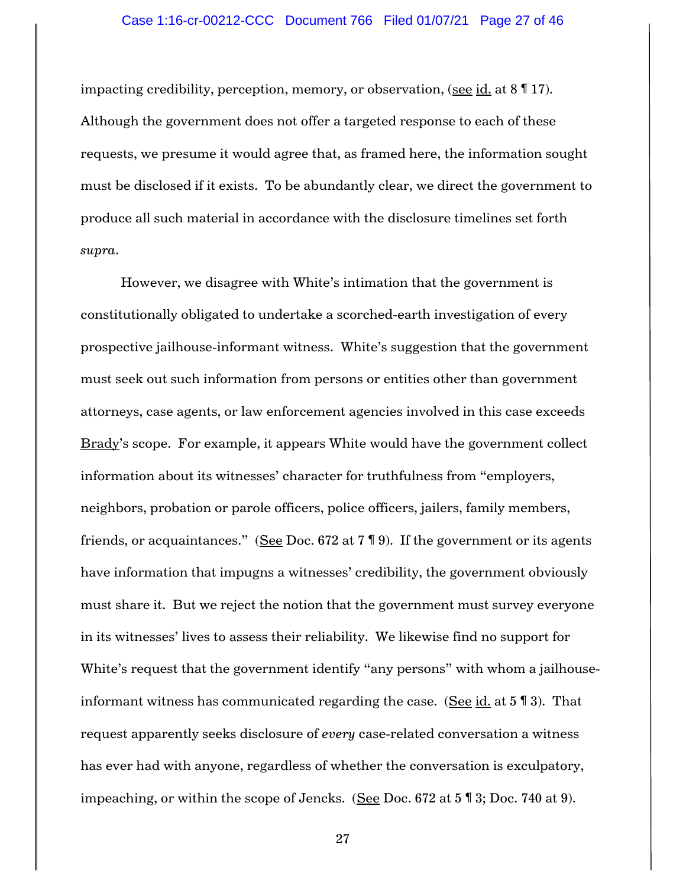# Case 1:16-cr-00212-CCC Document 766 Filed 01/07/21 Page 27 of 46

impacting credibility, perception, memory, or observation, (see id. at 8 ¶ 17). Although the government does not offer a targeted response to each of these requests, we presume it would agree that, as framed here, the information sought must be disclosed if it exists. To be abundantly clear, we direct the government to produce all such material in accordance with the disclosure timelines set forth *supra*.

However, we disagree with White's intimation that the government is constitutionally obligated to undertake a scorched-earth investigation of every prospective jailhouse-informant witness. White's suggestion that the government must seek out such information from persons or entities other than government attorneys, case agents, or law enforcement agencies involved in this case exceeds Brady's scope. For example, it appears White would have the government collect information about its witnesses' character for truthfulness from "employers, neighbors, probation or parole officers, police officers, jailers, family members, friends, or acquaintances." (See Doc. 672 at  $7 \text{ } \text{\ensuremath{\mathsf{I}}\,} 9$ ). If the government or its agents have information that impugns a witnesses' credibility, the government obviously must share it. But we reject the notion that the government must survey everyone in its witnesses' lives to assess their reliability. We likewise find no support for White's request that the government identify "any persons" with whom a jailhouseinformant witness has communicated regarding the case. (See id. at  $5 \text{ } \mathbb{F}$  3). That request apparently seeks disclosure of *every* case-related conversation a witness has ever had with anyone, regardless of whether the conversation is exculpatory, impeaching, or within the scope of Jencks. (See Doc. 672 at 5 ¶ 3; Doc. 740 at 9).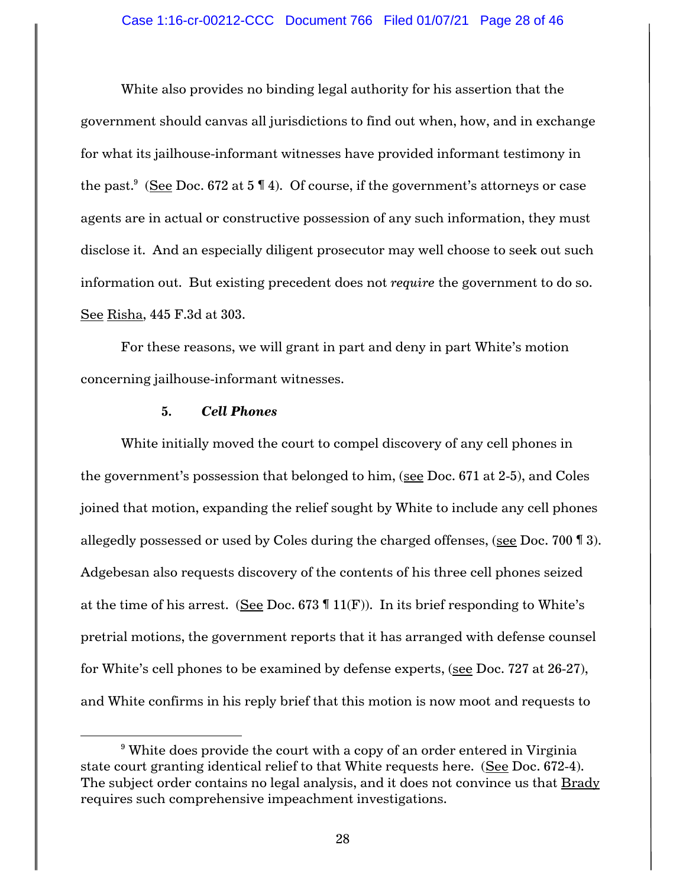White also provides no binding legal authority for his assertion that the government should canvas all jurisdictions to find out when, how, and in exchange for what its jailhouse-informant witnesses have provided informant testimony in the past. $^9\,$  (See Doc. 672 at 5 ¶ 4). Of course, if the government's attorneys or case agents are in actual or constructive possession of any such information, they must disclose it. And an especially diligent prosecutor may well choose to seek out such information out. But existing precedent does not *require* the government to do so. See Risha, 445 F.3d at 303.

For these reasons, we will grant in part and deny in part White's motion concerning jailhouse-informant witnesses.

### **5.** *Cell Phones*

l

White initially moved the court to compel discovery of any cell phones in the government's possession that belonged to him, (see Doc. 671 at 2-5), and Coles joined that motion, expanding the relief sought by White to include any cell phones allegedly possessed or used by Coles during the charged offenses, (see Doc. 700 ¶ 3). Adgebesan also requests discovery of the contents of his three cell phones seized at the time of his arrest. (See Doc. 673  $\P$  11(F)). In its brief responding to White's pretrial motions, the government reports that it has arranged with defense counsel for White's cell phones to be examined by defense experts, (see Doc. 727 at 26-27), and White confirms in his reply brief that this motion is now moot and requests to

<sup>&</sup>lt;sup>9</sup> White does provide the court with a copy of an order entered in Virginia state court granting identical relief to that White requests here. (See Doc. 672-4). The subject order contains no legal analysis, and it does not convince us that Brady requires such comprehensive impeachment investigations.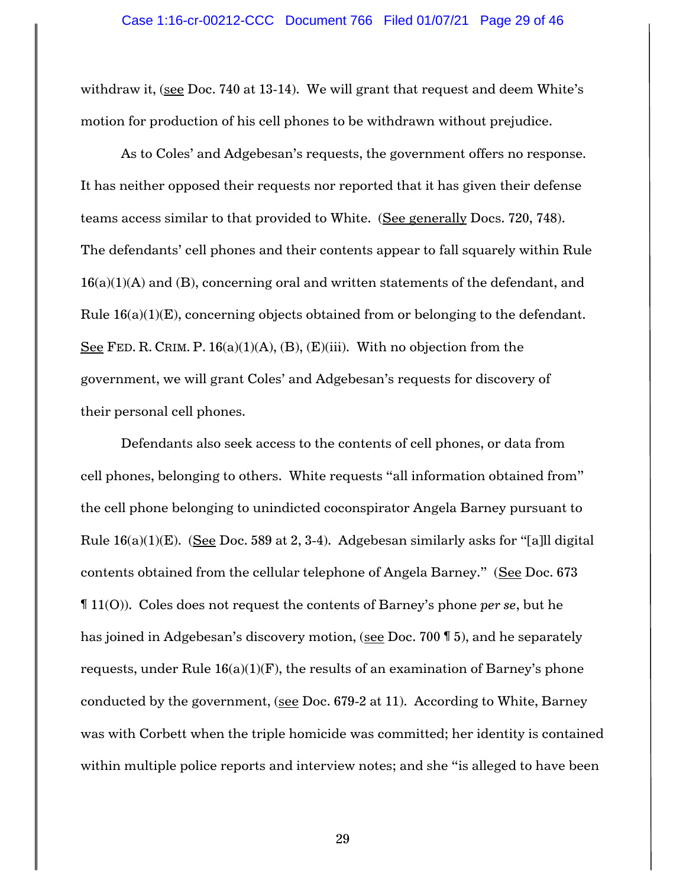withdraw it, (see Doc. 740 at 13-14). We will grant that request and deem White's motion for production of his cell phones to be withdrawn without prejudice.

As to Coles' and Adgebesan's requests, the government offers no response. It has neither opposed their requests nor reported that it has given their defense teams access similar to that provided to White. (See generally Docs. 720, 748). The defendants' cell phones and their contents appear to fall squarely within Rule  $16(a)(1)(A)$  and  $(B)$ , concerning oral and written statements of the defendant, and Rule  $16(a)(1)(E)$ , concerning objects obtained from or belonging to the defendant. See FED. R. CRIM. P.  $16(a)(1)(A)$ ,  $(B)$ ,  $(E)(iii)$ . With no objection from the government, we will grant Coles' and Adgebesan's requests for discovery of their personal cell phones.

Defendants also seek access to the contents of cell phones, or data from cell phones, belonging to others. White requests "all information obtained from" the cell phone belonging to unindicted coconspirator Angela Barney pursuant to Rule  $16(a)(1)(E)$ . (See Doc. 589 at 2, 3-4). Adgebesan similarly asks for "[a]ll digital contents obtained from the cellular telephone of Angela Barney." (See Doc. 673 ¶ 11(O)). Coles does not request the contents of Barney's phone *per se*, but he has joined in Adgebesan's discovery motion, (see Doc. 700 ¶ 5), and he separately requests, under Rule  $16(a)(1)(F)$ , the results of an examination of Barney's phone conducted by the government, (see Doc. 679-2 at 11). According to White, Barney was with Corbett when the triple homicide was committed; her identity is contained within multiple police reports and interview notes; and she "is alleged to have been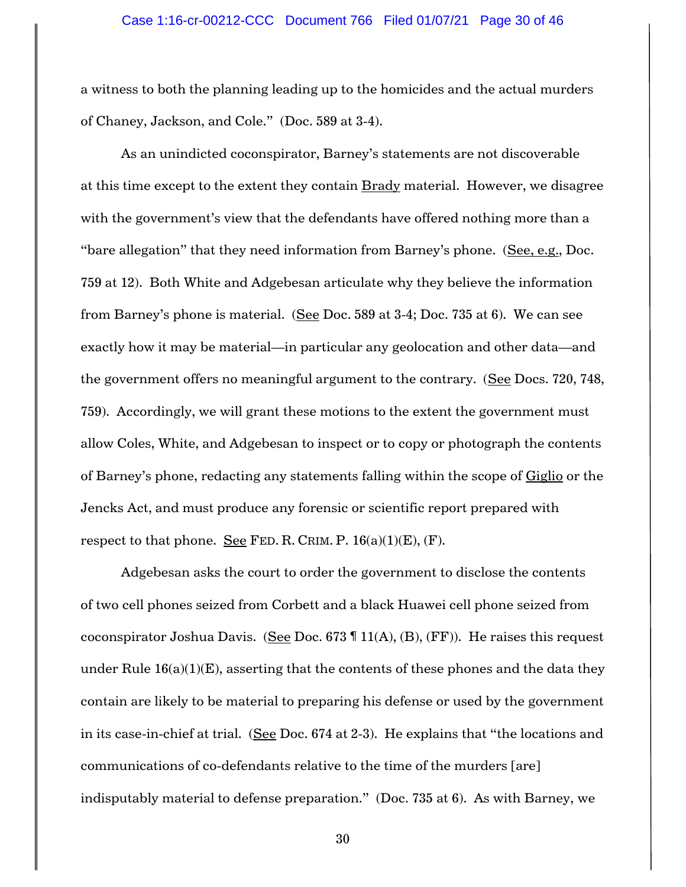a witness to both the planning leading up to the homicides and the actual murders of Chaney, Jackson, and Cole." (Doc. 589 at 3-4).

As an unindicted coconspirator, Barney's statements are not discoverable at this time except to the extent they contain Brady material. However, we disagree with the government's view that the defendants have offered nothing more than a "bare allegation" that they need information from Barney's phone. (See, e.g., Doc. 759 at 12). Both White and Adgebesan articulate why they believe the information from Barney's phone is material. (See Doc. 589 at 3-4; Doc. 735 at 6). We can see exactly how it may be material—in particular any geolocation and other data—and the government offers no meaningful argument to the contrary. (See Docs. 720, 748, 759). Accordingly, we will grant these motions to the extent the government must allow Coles, White, and Adgebesan to inspect or to copy or photograph the contents of Barney's phone, redacting any statements falling within the scope of Giglio or the Jencks Act, and must produce any forensic or scientific report prepared with respect to that phone. See FED. R. CRIM. P.  $16(a)(1)(E)$ , (F).

Adgebesan asks the court to order the government to disclose the contents of two cell phones seized from Corbett and a black Huawei cell phone seized from coconspirator Joshua Davis. (See Doc. 673  $\P$  11(A), (B), (FF)). He raises this request under Rule  $16(a)(1)(E)$ , asserting that the contents of these phones and the data they contain are likely to be material to preparing his defense or used by the government in its case-in-chief at trial. (See Doc. 674 at 2-3). He explains that "the locations and communications of co-defendants relative to the time of the murders [are] indisputably material to defense preparation." (Doc. 735 at 6). As with Barney, we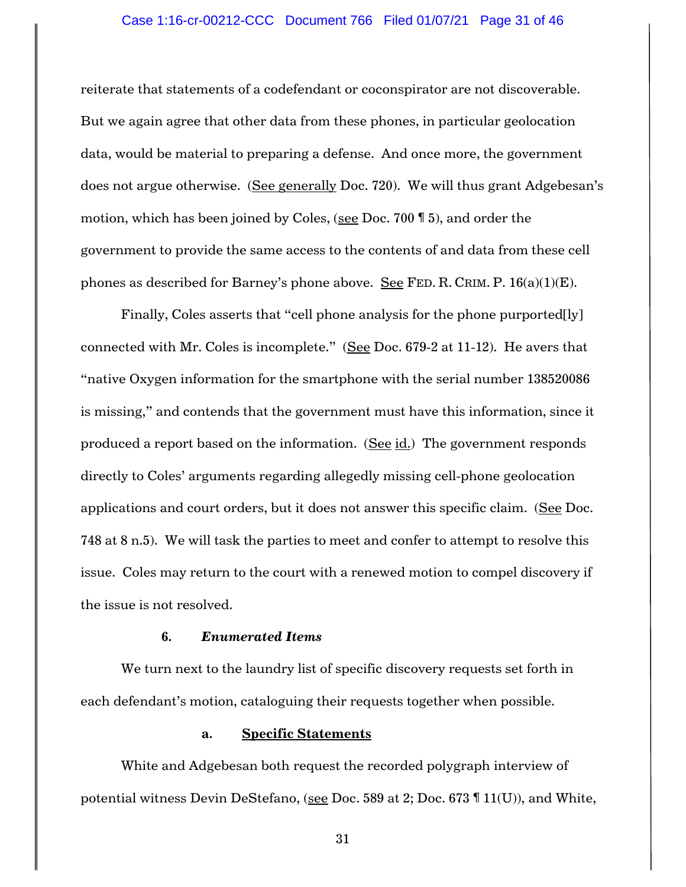#### Case 1:16-cr-00212-CCC Document 766 Filed 01/07/21 Page 31 of 46

reiterate that statements of a codefendant or coconspirator are not discoverable. But we again agree that other data from these phones, in particular geolocation data, would be material to preparing a defense. And once more, the government does not argue otherwise. (See generally Doc. 720). We will thus grant Adgebesan's motion, which has been joined by Coles, (see Doc. 700 ¶ 5), and order the government to provide the same access to the contents of and data from these cell phones as described for Barney's phone above. See FED. R. CRIM. P.  $16(a)(1)(E)$ .

Finally, Coles asserts that "cell phone analysis for the phone purported[ly] connected with Mr. Coles is incomplete." (See Doc. 679-2 at 11-12). He avers that "native Oxygen information for the smartphone with the serial number 138520086 is missing," and contends that the government must have this information, since it produced a report based on the information. (See id.) The government responds directly to Coles' arguments regarding allegedly missing cell-phone geolocation applications and court orders, but it does not answer this specific claim. (See Doc. 748 at 8 n.5). We will task the parties to meet and confer to attempt to resolve this issue. Coles may return to the court with a renewed motion to compel discovery if the issue is not resolved.

### **6.** *Enumerated Items*

We turn next to the laundry list of specific discovery requests set forth in each defendant's motion, cataloguing their requests together when possible.

# **a. Specific Statements**

White and Adgebesan both request the recorded polygraph interview of potential witness Devin DeStefano, (see Doc. 589 at 2; Doc. 673 ¶ 11(U)), and White,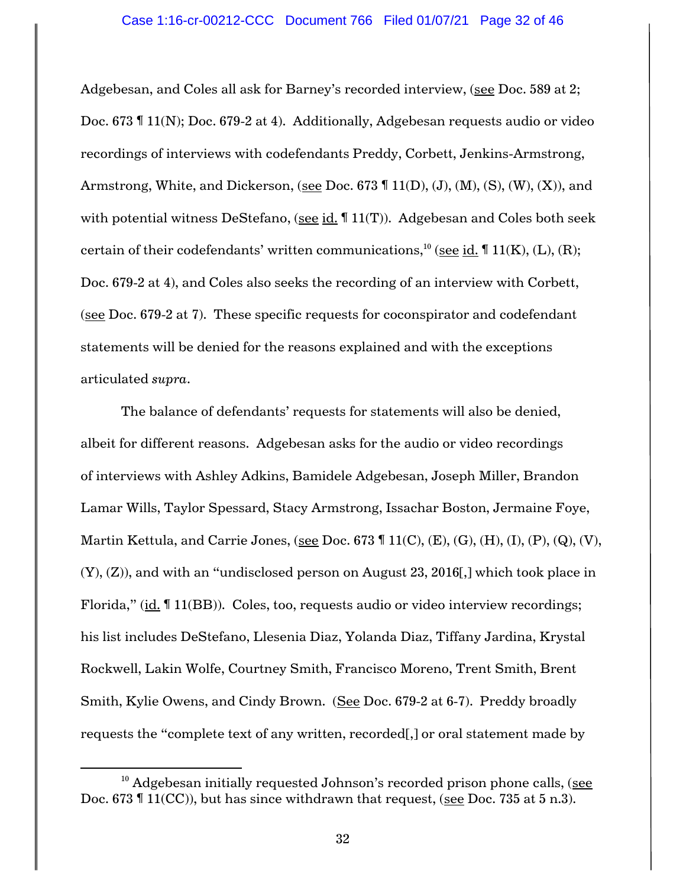Adgebesan, and Coles all ask for Barney's recorded interview, (see Doc. 589 at 2; Doc. 673 ¶ 11(N); Doc. 679-2 at 4). Additionally, Adgebesan requests audio or video recordings of interviews with codefendants Preddy, Corbett, Jenkins-Armstrong, Armstrong, White, and Dickerson, (see Doc. 673  $\P$  11(D), (J), (M), (S), (W), (X)), and with potential witness DeStefano, (see id. 11(T)). Adgebesan and Coles both seek certain of their codefendants' written communications, $^{10}$  (<u>see id.</u> ¶ 11(K), (L), (R); Doc. 679-2 at 4), and Coles also seeks the recording of an interview with Corbett, (see Doc. 679-2 at 7). These specific requests for coconspirator and codefendant statements will be denied for the reasons explained and with the exceptions articulated *supra*.

The balance of defendants' requests for statements will also be denied, albeit for different reasons. Adgebesan asks for the audio or video recordings of interviews with Ashley Adkins, Bamidele Adgebesan, Joseph Miller, Brandon Lamar Wills, Taylor Spessard, Stacy Armstrong, Issachar Boston, Jermaine Foye, Martin Kettula, and Carrie Jones, (see Doc. 673  $\P$  11(C), (E), (G), (H), (I), (P), (Q), (V), (Y), (Z)), and with an "undisclosed person on August 23, 2016[,] which took place in Florida," (id. ¶ 11(BB)). Coles, too, requests audio or video interview recordings; his list includes DeStefano, Llesenia Diaz, Yolanda Diaz, Tiffany Jardina, Krystal Rockwell, Lakin Wolfe, Courtney Smith, Francisco Moreno, Trent Smith, Brent Smith, Kylie Owens, and Cindy Brown. (See Doc. 679-2 at 6-7). Preddy broadly requests the "complete text of any written, recorded[,] or oral statement made by

 $\overline{\phantom{a}}$ 

 $10$  Adgebesan initially requested Johnson's recorded prison phone calls, (see Doc. 673 ¶ 11(CC)), but has since withdrawn that request, (see Doc. 735 at 5 n.3).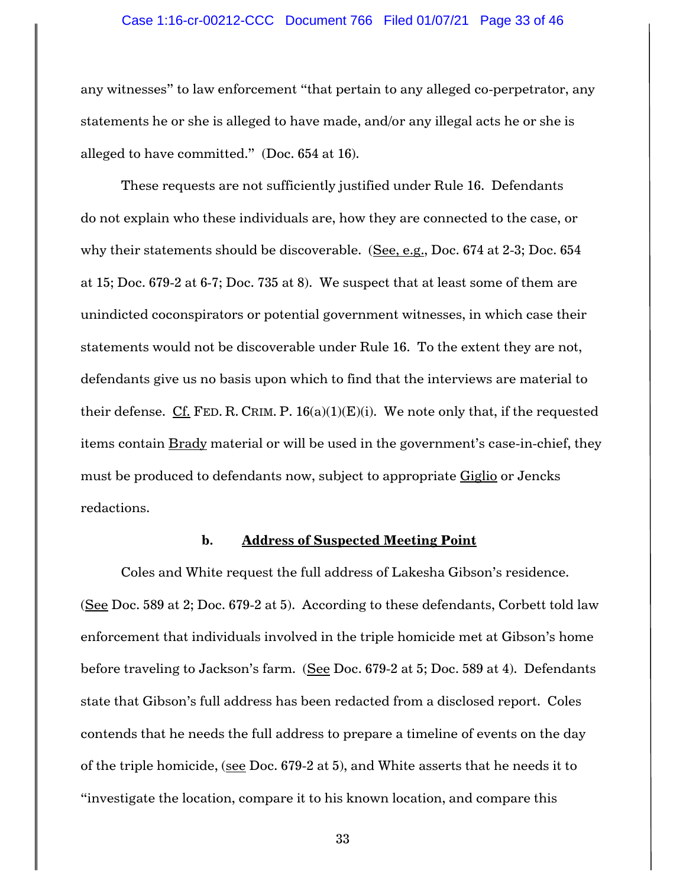#### Case 1:16-cr-00212-CCC Document 766 Filed 01/07/21 Page 33 of 46

any witnesses" to law enforcement "that pertain to any alleged co-perpetrator, any statements he or she is alleged to have made, and/or any illegal acts he or she is alleged to have committed." (Doc. 654 at 16).

These requests are not sufficiently justified under Rule 16. Defendants do not explain who these individuals are, how they are connected to the case, or why their statements should be discoverable. (See, e.g., Doc. 674 at 2-3; Doc. 654 at 15; Doc. 679-2 at 6-7; Doc. 735 at 8). We suspect that at least some of them are unindicted coconspirators or potential government witnesses, in which case their statements would not be discoverable under Rule 16. To the extent they are not, defendants give us no basis upon which to find that the interviews are material to their defense. Cf. FED. R. CRIM. P.  $16(a)(1)(E)(i)$ . We note only that, if the requested items contain Brady material or will be used in the government's case-in-chief, they must be produced to defendants now, subject to appropriate Giglio or Jencks redactions.

#### **b. Address of Suspected Meeting Point**

Coles and White request the full address of Lakesha Gibson's residence. (See Doc. 589 at 2; Doc. 679-2 at 5). According to these defendants, Corbett told law enforcement that individuals involved in the triple homicide met at Gibson's home before traveling to Jackson's farm. (See Doc. 679-2 at 5; Doc. 589 at 4). Defendants state that Gibson's full address has been redacted from a disclosed report. Coles contends that he needs the full address to prepare a timeline of events on the day of the triple homicide, (see Doc. 679-2 at 5), and White asserts that he needs it to "investigate the location, compare it to his known location, and compare this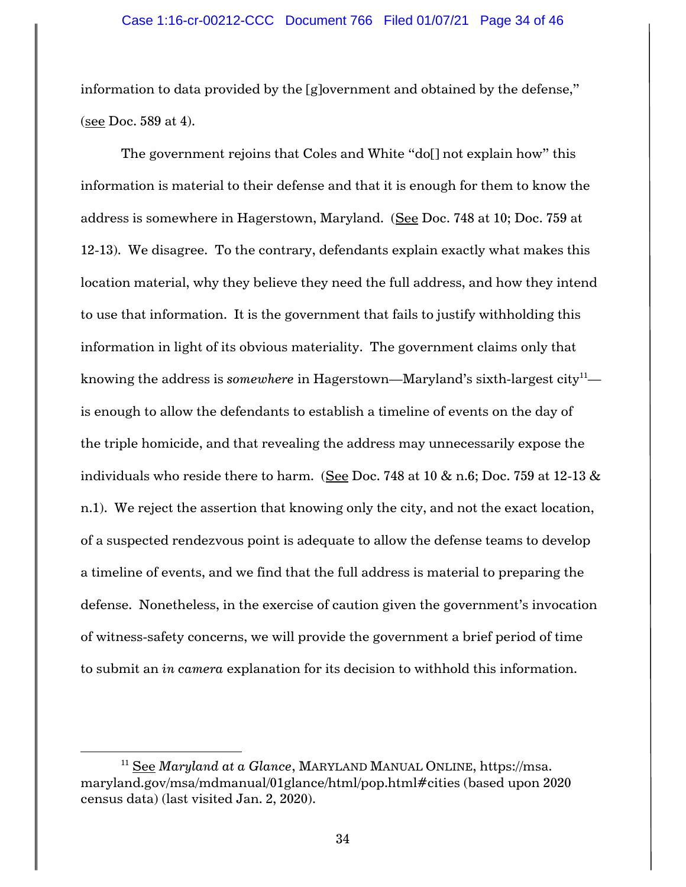information to data provided by the [g]overnment and obtained by the defense," (see Doc. 589 at 4).

The government rejoins that Coles and White "do[] not explain how" this information is material to their defense and that it is enough for them to know the address is somewhere in Hagerstown, Maryland. (See Doc. 748 at 10; Doc. 759 at 12-13). We disagree. To the contrary, defendants explain exactly what makes this location material, why they believe they need the full address, and how they intend to use that information. It is the government that fails to justify withholding this information in light of its obvious materiality. The government claims only that knowing the address is *somewhere* in Hagerstown—Maryland's sixth-largest city<sup>11</sup> is enough to allow the defendants to establish a timeline of events on the day of the triple homicide, and that revealing the address may unnecessarily expose the individuals who reside there to harm. (See Doc. 748 at  $10 \& n.6$ ; Doc. 759 at 12-13  $\&$ n.1). We reject the assertion that knowing only the city, and not the exact location, of a suspected rendezvous point is adequate to allow the defense teams to develop a timeline of events, and we find that the full address is material to preparing the defense. Nonetheless, in the exercise of caution given the government's invocation of witness-safety concerns, we will provide the government a brief period of time to submit an *in camera* explanation for its decision to withhold this information.

l

<sup>11</sup> See *Maryland at a Glance*, MARYLAND MANUAL ONLINE, https://msa. maryland.gov/msa/mdmanual/01glance/html/pop.html#cities (based upon 2020 census data) (last visited Jan. 2, 2020).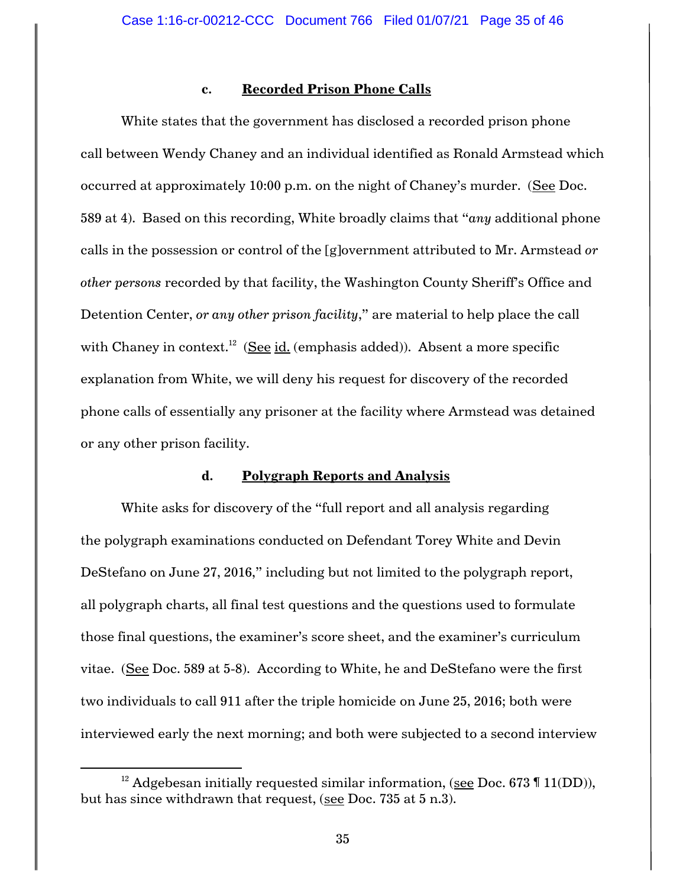### **c. Recorded Prison Phone Calls**

White states that the government has disclosed a recorded prison phone call between Wendy Chaney and an individual identified as Ronald Armstead which occurred at approximately 10:00 p.m. on the night of Chaney's murder. (See Doc. 589 at 4). Based on this recording, White broadly claims that "*any* additional phone calls in the possession or control of the [g]overnment attributed to Mr. Armstead *or other persons* recorded by that facility, the Washington County Sheriff's Office and Detention Center, *or any other prison facility*," are material to help place the call with Chaney in context.<sup>12</sup> (<u>See id.</u> (emphasis added)). Absent a more specific explanation from White, we will deny his request for discovery of the recorded phone calls of essentially any prisoner at the facility where Armstead was detained or any other prison facility.

# **d. Polygraph Reports and Analysis**

White asks for discovery of the "full report and all analysis regarding the polygraph examinations conducted on Defendant Torey White and Devin DeStefano on June 27, 2016," including but not limited to the polygraph report, all polygraph charts, all final test questions and the questions used to formulate those final questions, the examiner's score sheet, and the examiner's curriculum vitae. (See Doc. 589 at 5-8). According to White, he and DeStefano were the first two individuals to call 911 after the triple homicide on June 25, 2016; both were interviewed early the next morning; and both were subjected to a second interview

 $\overline{\phantom{a}}$ 

<sup>&</sup>lt;sup>12</sup> Adgebesan initially requested similar information, (see Doc. 673  $\P$  11(DD)), but has since withdrawn that request, (see Doc. 735 at 5 n.3).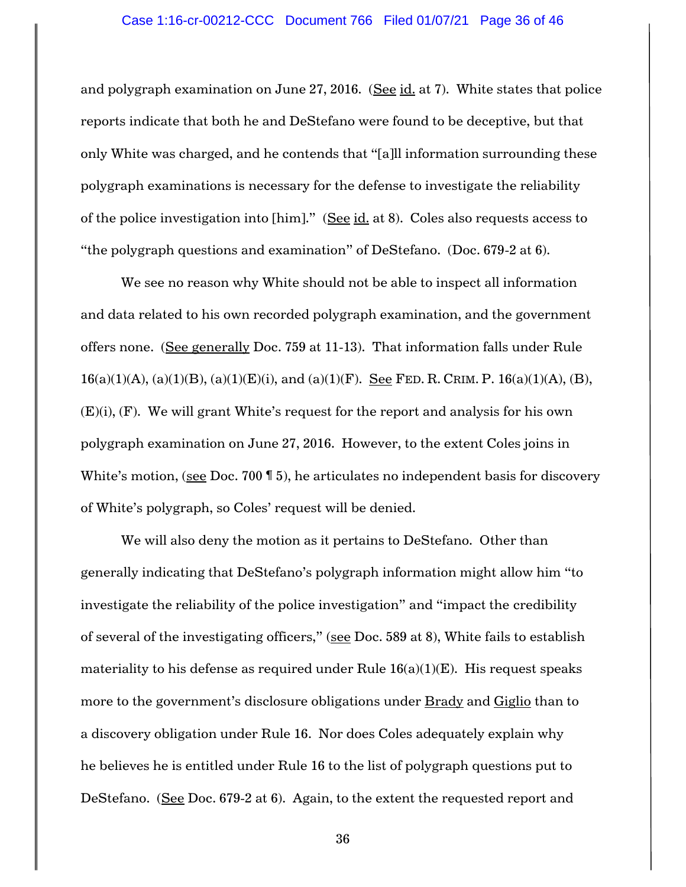and polygraph examination on June 27, 2016. (See id. at 7). White states that police reports indicate that both he and DeStefano were found to be deceptive, but that only White was charged, and he contends that "[a]ll information surrounding these polygraph examinations is necessary for the defense to investigate the reliability of the police investigation into [him]." (See id. at 8). Coles also requests access to "the polygraph questions and examination" of DeStefano. (Doc. 679-2 at 6).

We see no reason why White should not be able to inspect all information and data related to his own recorded polygraph examination, and the government offers none. (See generally Doc. 759 at 11-13). That information falls under Rule  $16(a)(1)(A)$ ,  $(a)(1)(B)$ ,  $(a)(1)(E)(i)$ , and  $(a)(1)(F)$ . See FED. R. CRIM. P.  $16(a)(1)(A)$ ,  $(B)$ ,  $(E)(i)$ ,  $(F)$ . We will grant White's request for the report and analysis for his own polygraph examination on June 27, 2016. However, to the extent Coles joins in White's motion, (see Doc. 700 \, 5), he articulates no independent basis for discovery of White's polygraph, so Coles' request will be denied.

We will also deny the motion as it pertains to DeStefano. Other than generally indicating that DeStefano's polygraph information might allow him "to investigate the reliability of the police investigation" and "impact the credibility of several of the investigating officers," (see Doc. 589 at 8), White fails to establish materiality to his defense as required under Rule  $16(a)(1)(E)$ . His request speaks more to the government's disclosure obligations under Brady and Giglio than to a discovery obligation under Rule 16. Nor does Coles adequately explain why he believes he is entitled under Rule 16 to the list of polygraph questions put to DeStefano. (See Doc. 679-2 at 6). Again, to the extent the requested report and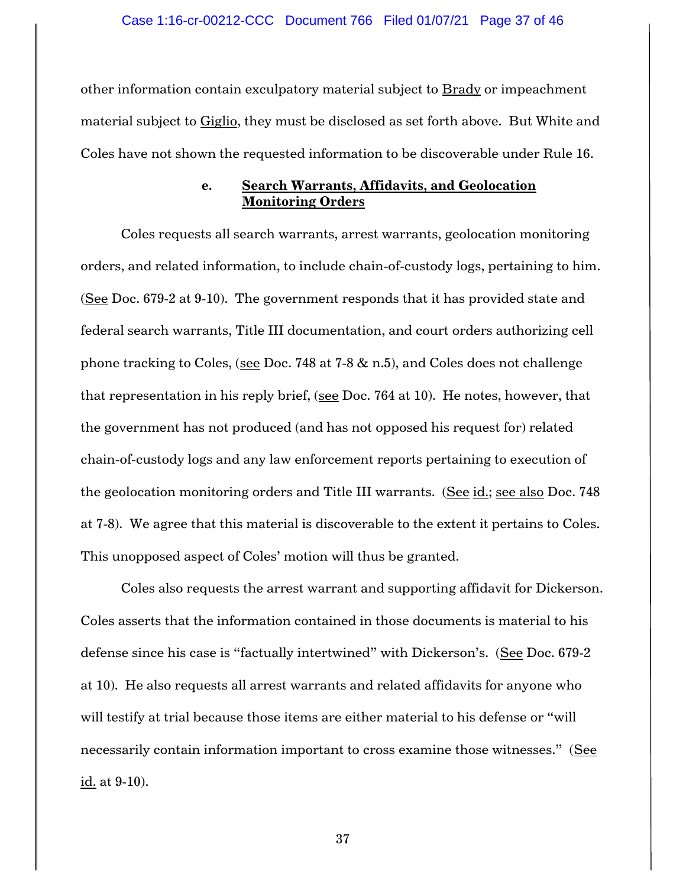other information contain exculpatory material subject to Brady or impeachment material subject to Giglio, they must be disclosed as set forth above. But White and Coles have not shown the requested information to be discoverable under Rule 16.

# **e. Search Warrants, Affidavits, and Geolocation Monitoring Orders**

Coles requests all search warrants, arrest warrants, geolocation monitoring orders, and related information, to include chain-of-custody logs, pertaining to him. (See Doc. 679-2 at 9-10). The government responds that it has provided state and federal search warrants, Title III documentation, and court orders authorizing cell phone tracking to Coles, (see Doc. 748 at 7-8 & n.5), and Coles does not challenge that representation in his reply brief, (see Doc. 764 at 10). He notes, however, that the government has not produced (and has not opposed his request for) related chain-of-custody logs and any law enforcement reports pertaining to execution of the geolocation monitoring orders and Title III warrants. (See id.; see also Doc. 748 at 7-8). We agree that this material is discoverable to the extent it pertains to Coles. This unopposed aspect of Coles' motion will thus be granted.

Coles also requests the arrest warrant and supporting affidavit for Dickerson. Coles asserts that the information contained in those documents is material to his defense since his case is "factually intertwined" with Dickerson's. (See Doc. 679-2 at 10). He also requests all arrest warrants and related affidavits for anyone who will testify at trial because those items are either material to his defense or "will necessarily contain information important to cross examine those witnesses." (See id. at 9-10).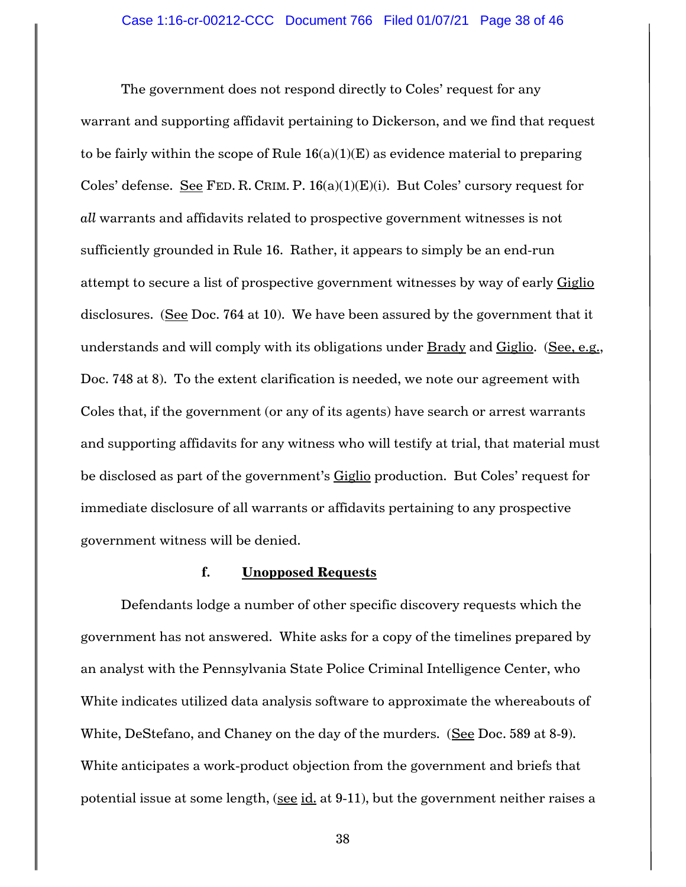The government does not respond directly to Coles' request for any warrant and supporting affidavit pertaining to Dickerson, and we find that request to be fairly within the scope of Rule  $16(a)(1)(E)$  as evidence material to preparing Coles' defense. See FED. R. CRIM. P.  $16(a)(1)(E)(i)$ . But Coles' cursory request for *all* warrants and affidavits related to prospective government witnesses is not sufficiently grounded in Rule 16. Rather, it appears to simply be an end-run attempt to secure a list of prospective government witnesses by way of early Giglio disclosures. (See Doc. 764 at 10). We have been assured by the government that it understands and will comply with its obligations under Brady and Giglio. (See, e.g., Doc. 748 at 8). To the extent clarification is needed, we note our agreement with Coles that, if the government (or any of its agents) have search or arrest warrants and supporting affidavits for any witness who will testify at trial, that material must be disclosed as part of the government's Giglio production. But Coles' request for immediate disclosure of all warrants or affidavits pertaining to any prospective government witness will be denied.

# **f. Unopposed Requests**

Defendants lodge a number of other specific discovery requests which the government has not answered. White asks for a copy of the timelines prepared by an analyst with the Pennsylvania State Police Criminal Intelligence Center, who White indicates utilized data analysis software to approximate the whereabouts of White, DeStefano, and Chaney on the day of the murders. (See Doc. 589 at 8-9). White anticipates a work-product objection from the government and briefs that potential issue at some length, (see id. at 9-11), but the government neither raises a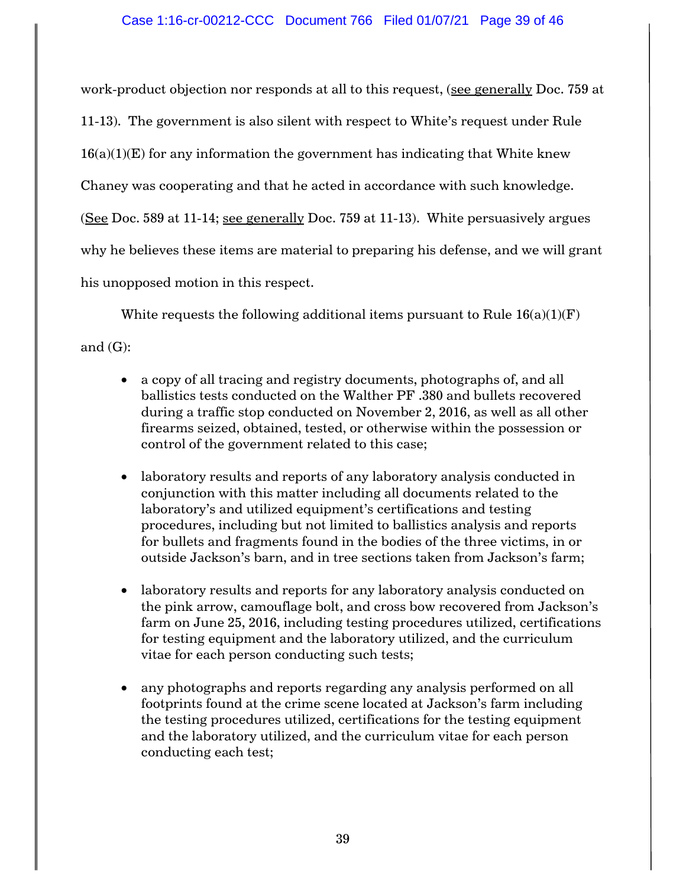work-product objection nor responds at all to this request, (see generally Doc. 759 at 11-13). The government is also silent with respect to White's request under Rule  $16(a)(1)(E)$  for any information the government has indicating that White knew Chaney was cooperating and that he acted in accordance with such knowledge. (See Doc. 589 at 11-14; see generally Doc. 759 at 11-13). White persuasively argues

why he believes these items are material to preparing his defense, and we will grant

his unopposed motion in this respect.

White requests the following additional items pursuant to Rule  $16(a)(1)(F)$ 

and  $(G)$ :

- a copy of all tracing and registry documents, photographs of, and all ballistics tests conducted on the Walther PF .380 and bullets recovered during a traffic stop conducted on November 2, 2016, as well as all other firearms seized, obtained, tested, or otherwise within the possession or control of the government related to this case;
- laboratory results and reports of any laboratory analysis conducted in conjunction with this matter including all documents related to the laboratory's and utilized equipment's certifications and testing procedures, including but not limited to ballistics analysis and reports for bullets and fragments found in the bodies of the three victims, in or outside Jackson's barn, and in tree sections taken from Jackson's farm;
- laboratory results and reports for any laboratory analysis conducted on the pink arrow, camouflage bolt, and cross bow recovered from Jackson's farm on June 25, 2016, including testing procedures utilized, certifications for testing equipment and the laboratory utilized, and the curriculum vitae for each person conducting such tests;
- any photographs and reports regarding any analysis performed on all footprints found at the crime scene located at Jackson's farm including the testing procedures utilized, certifications for the testing equipment and the laboratory utilized, and the curriculum vitae for each person conducting each test;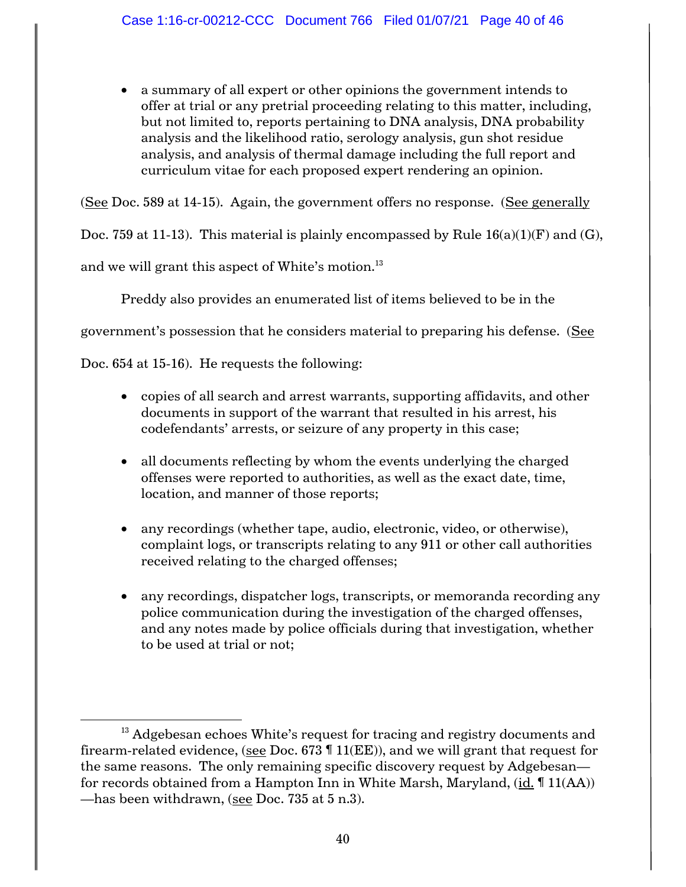• a summary of all expert or other opinions the government intends to offer at trial or any pretrial proceeding relating to this matter, including, but not limited to, reports pertaining to DNA analysis, DNA probability analysis and the likelihood ratio, serology analysis, gun shot residue analysis, and analysis of thermal damage including the full report and curriculum vitae for each proposed expert rendering an opinion.

(See Doc. 589 at 14-15). Again, the government offers no response. (See generally

Doc. 759 at 11-13). This material is plainly encompassed by Rule  $16(a)(1)(F)$  and  $(G)$ ,

and we will grant this aspect of White's motion.<sup>13</sup>

Preddy also provides an enumerated list of items believed to be in the

government's possession that he considers material to preparing his defense. (See

Doc. 654 at 15-16). He requests the following:

 $\overline{\phantom{a}}$ 

- copies of all search and arrest warrants, supporting affidavits, and other documents in support of the warrant that resulted in his arrest, his codefendants' arrests, or seizure of any property in this case;
- all documents reflecting by whom the events underlying the charged offenses were reported to authorities, as well as the exact date, time, location, and manner of those reports;
- any recordings (whether tape, audio, electronic, video, or otherwise), complaint logs, or transcripts relating to any 911 or other call authorities received relating to the charged offenses;
- any recordings, dispatcher logs, transcripts, or memoranda recording any police communication during the investigation of the charged offenses, and any notes made by police officials during that investigation, whether to be used at trial or not;

 $13$  Adgebesan echoes White's request for tracing and registry documents and firearm-related evidence, (see Doc.  $673 \text{ } n11(EE)$ ), and we will grant that request for the same reasons. The only remaining specific discovery request by Adgebesan for records obtained from a Hampton Inn in White Marsh, Maryland, (id. ¶ 11(AA)) —has been withdrawn, (see Doc. 735 at 5 n.3).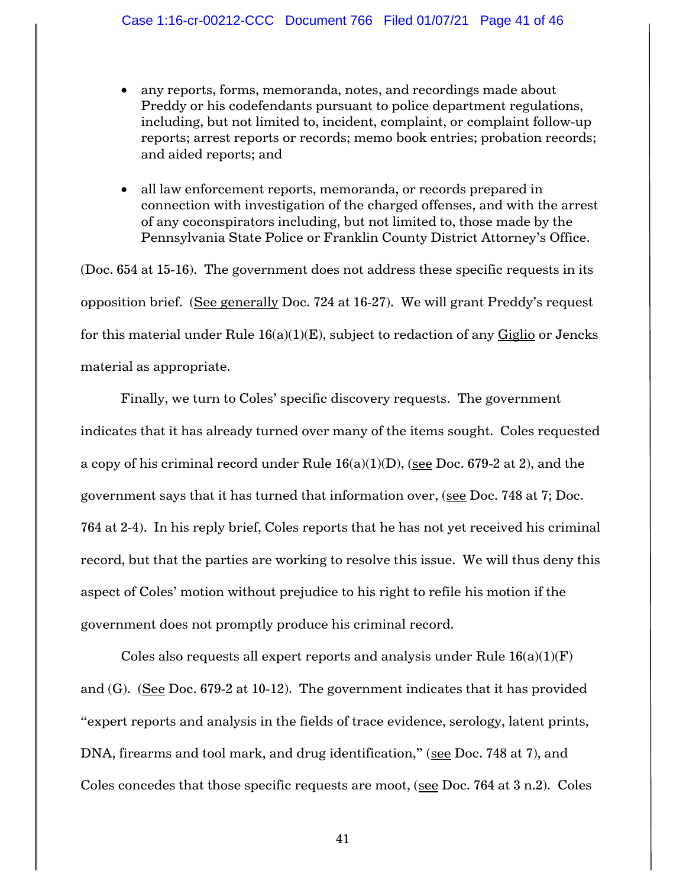- any reports, forms, memoranda, notes, and recordings made about Preddy or his codefendants pursuant to police department regulations, including, but not limited to, incident, complaint, or complaint follow-up reports; arrest reports or records; memo book entries; probation records; and aided reports; and
- all law enforcement reports, memoranda, or records prepared in connection with investigation of the charged offenses, and with the arrest of any coconspirators including, but not limited to, those made by the Pennsylvania State Police or Franklin County District Attorney's Office.

(Doc. 654 at 15-16). The government does not address these specific requests in its opposition brief. (See generally Doc. 724 at 16-27). We will grant Preddy's request for this material under Rule  $16(a)(1)(E)$ , subject to redaction of any Giglio or Jencks material as appropriate.

Finally, we turn to Coles' specific discovery requests. The government indicates that it has already turned over many of the items sought. Coles requested a copy of his criminal record under Rule 16(a)(1)(D), (see Doc. 679-2 at 2), and the government says that it has turned that information over, (see Doc. 748 at 7; Doc. 764 at 2-4). In his reply brief, Coles reports that he has not yet received his criminal record, but that the parties are working to resolve this issue. We will thus deny this aspect of Coles' motion without prejudice to his right to refile his motion if the government does not promptly produce his criminal record.

Coles also requests all expert reports and analysis under Rule  $16(a)(1)(F)$ and (G). (See Doc. 679-2 at 10-12). The government indicates that it has provided "expert reports and analysis in the fields of trace evidence, serology, latent prints, DNA, firearms and tool mark, and drug identification," (see Doc. 748 at 7), and Coles concedes that those specific requests are moot, (see Doc. 764 at 3 n.2). Coles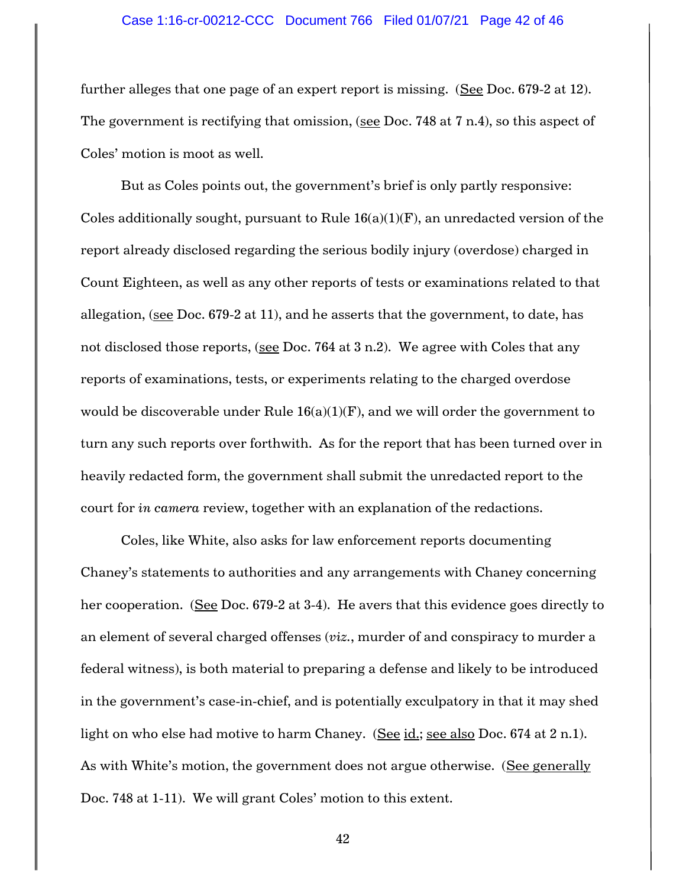#### Case 1:16-cr-00212-CCC Document 766 Filed 01/07/21 Page 42 of 46

further alleges that one page of an expert report is missing. (See Doc. 679-2 at 12). The government is rectifying that omission, (see Doc. 748 at 7 n.4), so this aspect of Coles' motion is moot as well.

But as Coles points out, the government's brief is only partly responsive: Coles additionally sought, pursuant to Rule  $16(a)(1)(F)$ , an unredacted version of the report already disclosed regarding the serious bodily injury (overdose) charged in Count Eighteen, as well as any other reports of tests or examinations related to that allegation, (see Doc. 679-2 at 11), and he asserts that the government, to date, has not disclosed those reports, (see Doc. 764 at 3 n.2). We agree with Coles that any reports of examinations, tests, or experiments relating to the charged overdose would be discoverable under Rule  $16(a)(1)(F)$ , and we will order the government to turn any such reports over forthwith. As for the report that has been turned over in heavily redacted form, the government shall submit the unredacted report to the court for *in camera* review, together with an explanation of the redactions.

Coles, like White, also asks for law enforcement reports documenting Chaney's statements to authorities and any arrangements with Chaney concerning her cooperation. (See Doc. 679-2 at 3-4). He avers that this evidence goes directly to an element of several charged offenses (*viz.*, murder of and conspiracy to murder a federal witness), is both material to preparing a defense and likely to be introduced in the government's case-in-chief, and is potentially exculpatory in that it may shed light on who else had motive to harm Chaney. (See id.; see also Doc. 674 at 2 n.1). As with White's motion, the government does not argue otherwise. (See generally Doc. 748 at 1-11). We will grant Coles' motion to this extent.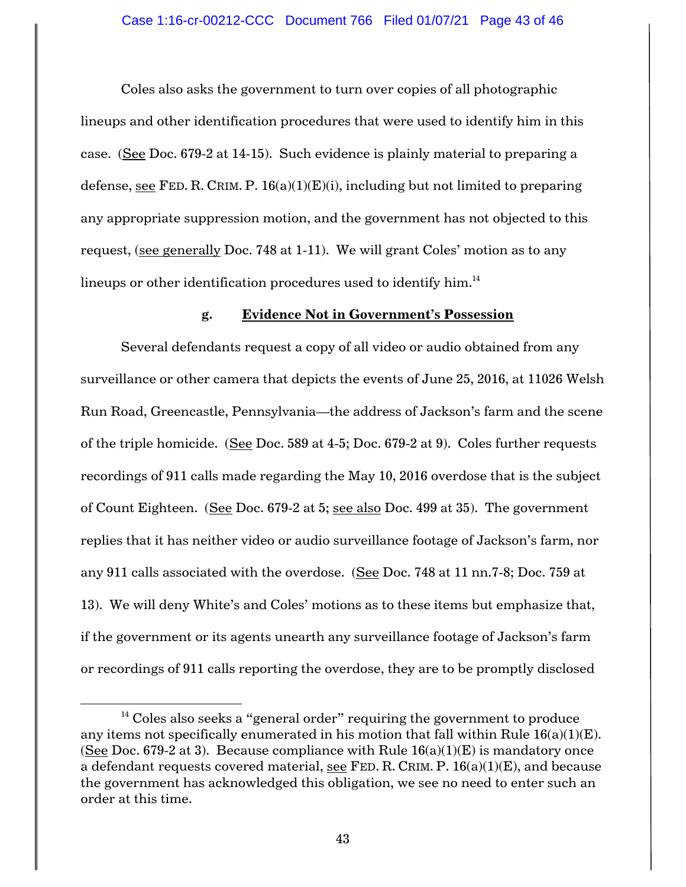Coles also asks the government to turn over copies of all photographic lineups and other identification procedures that were used to identify him in this case. (See Doc. 679-2 at 14-15). Such evidence is plainly material to preparing a defense, see FED. R. CRIM. P.  $16(a)(1)(E)(i)$ , including but not limited to preparing any appropriate suppression motion, and the government has not objected to this request, (see generally Doc. 748 at 1-11). We will grant Coles' motion as to any lineups or other identification procedures used to identify him. $^{\rm 14}$ 

# **g. Evidence Not in Government's Possession**

Several defendants request a copy of all video or audio obtained from any surveillance or other camera that depicts the events of June 25, 2016, at 11026 Welsh Run Road, Greencastle, Pennsylvania—the address of Jackson's farm and the scene of the triple homicide. (See Doc. 589 at 4-5; Doc. 679-2 at 9). Coles further requests recordings of 911 calls made regarding the May 10, 2016 overdose that is the subject of Count Eighteen. (See Doc. 679-2 at 5; see also Doc. 499 at 35). The government replies that it has neither video or audio surveillance footage of Jackson's farm, nor any 911 calls associated with the overdose. (See Doc. 748 at 11 nn.7-8; Doc. 759 at 13). We will deny White's and Coles' motions as to these items but emphasize that, if the government or its agents unearth any surveillance footage of Jackson's farm or recordings of 911 calls reporting the overdose, they are to be promptly disclosed

 $\overline{\phantom{a}}$ 

 $14$  Coles also seeks a "general order" requiring the government to produce any items not specifically enumerated in his motion that fall within Rule  $16(a)(1)(E)$ . (See Doc. 679-2 at 3). Because compliance with Rule  $16(a)(1)(E)$  is mandatory once a defendant requests covered material, see FED. R. CRIM. P.  $16(a)(1)(E)$ , and because the government has acknowledged this obligation, we see no need to enter such an order at this time.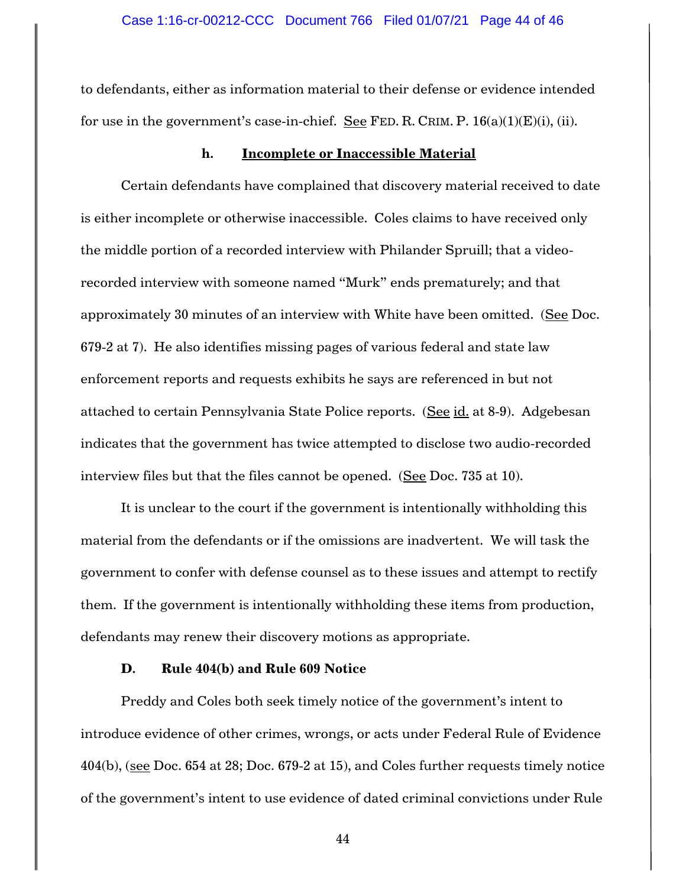to defendants, either as information material to their defense or evidence intended for use in the government's case-in-chief. See FED. R. CRIM. P.  $16(a)(1)(E)(i)$ , (ii).

#### **h. Incomplete or Inaccessible Material**

Certain defendants have complained that discovery material received to date is either incomplete or otherwise inaccessible. Coles claims to have received only the middle portion of a recorded interview with Philander Spruill; that a videorecorded interview with someone named "Murk" ends prematurely; and that approximately 30 minutes of an interview with White have been omitted. (See Doc. 679-2 at 7). He also identifies missing pages of various federal and state law enforcement reports and requests exhibits he says are referenced in but not attached to certain Pennsylvania State Police reports. (See id. at 8-9). Adgebesan indicates that the government has twice attempted to disclose two audio-recorded interview files but that the files cannot be opened. (See Doc. 735 at 10).

It is unclear to the court if the government is intentionally withholding this material from the defendants or if the omissions are inadvertent. We will task the government to confer with defense counsel as to these issues and attempt to rectify them. If the government is intentionally withholding these items from production, defendants may renew their discovery motions as appropriate.

#### **D. Rule 404(b) and Rule 609 Notice**

Preddy and Coles both seek timely notice of the government's intent to introduce evidence of other crimes, wrongs, or acts under Federal Rule of Evidence 404(b), (see Doc. 654 at 28; Doc. 679-2 at 15), and Coles further requests timely notice of the government's intent to use evidence of dated criminal convictions under Rule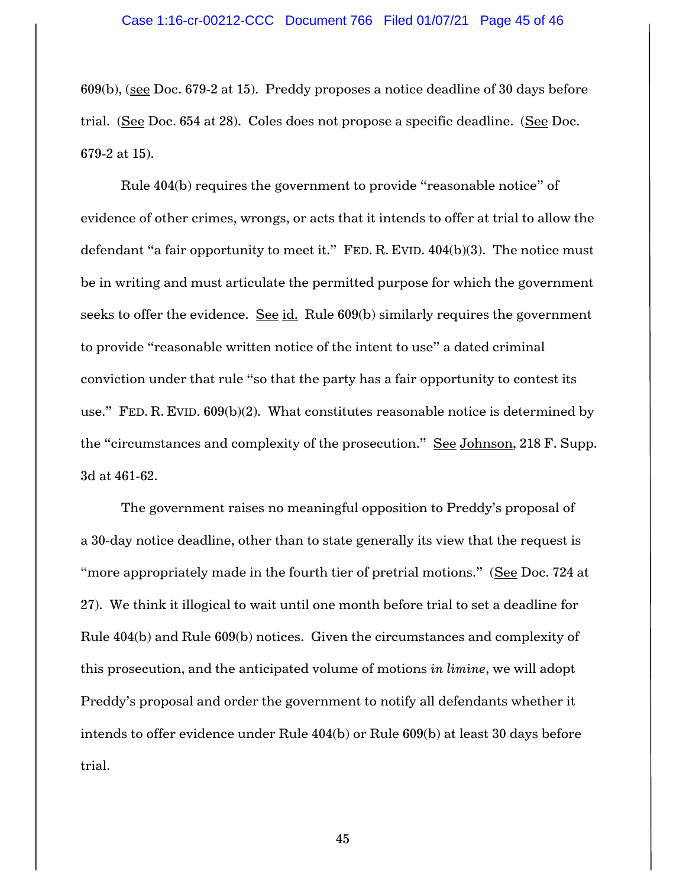609(b), (see Doc. 679-2 at 15). Preddy proposes a notice deadline of 30 days before trial. (See Doc. 654 at 28). Coles does not propose a specific deadline. (See Doc. 679-2 at 15).

Rule 404(b) requires the government to provide "reasonable notice" of evidence of other crimes, wrongs, or acts that it intends to offer at trial to allow the defendant "a fair opportunity to meet it." FED. R. EVID. 404(b)(3). The notice must be in writing and must articulate the permitted purpose for which the government seeks to offer the evidence. See id. Rule 609(b) similarly requires the government to provide "reasonable written notice of the intent to use" a dated criminal conviction under that rule "so that the party has a fair opportunity to contest its use." FED. R. EVID. 609(b)(2). What constitutes reasonable notice is determined by the "circumstances and complexity of the prosecution." See Johnson, 218 F. Supp. 3d at 461-62.

The government raises no meaningful opposition to Preddy's proposal of a 30-day notice deadline, other than to state generally its view that the request is "more appropriately made in the fourth tier of pretrial motions." (See Doc. 724 at 27). We think it illogical to wait until one month before trial to set a deadline for Rule 404(b) and Rule 609(b) notices. Given the circumstances and complexity of this prosecution, and the anticipated volume of motions *in limine*, we will adopt Preddy's proposal and order the government to notify all defendants whether it intends to offer evidence under Rule 404(b) or Rule 609(b) at least 30 days before trial.